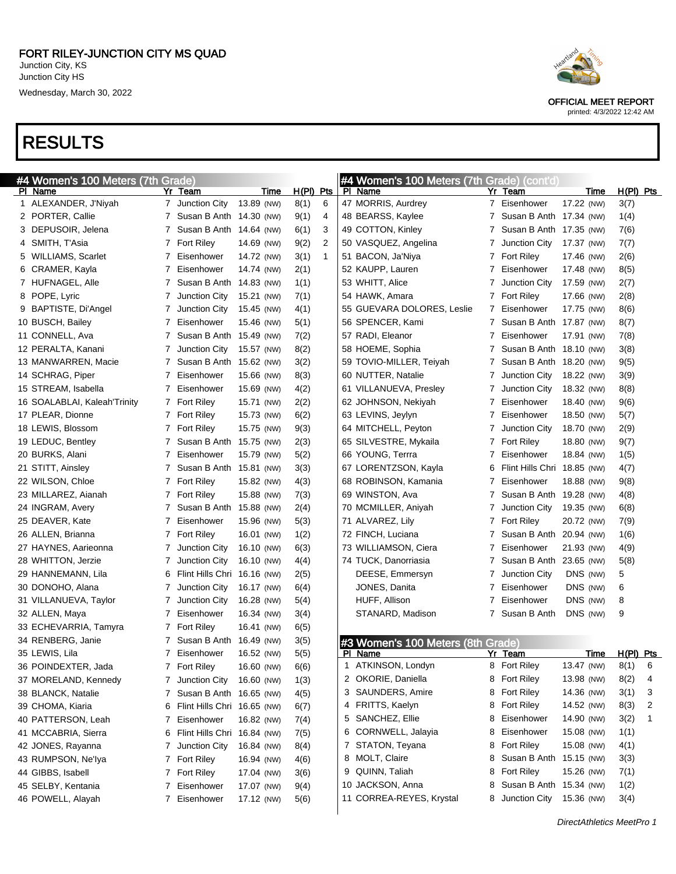| #4 Women's 100 Meters (7th Grade) |              |                             |            |              |              | #4 Women's 100 Meters (7th Grade) (cont'd) |    |                             |            |      |             |   |
|-----------------------------------|--------------|-----------------------------|------------|--------------|--------------|--------------------------------------------|----|-----------------------------|------------|------|-------------|---|
| PI Name                           |              | Yr Team                     | Time       | <u>H(PI)</u> | $P$ ts       | PI Name                                    | Yr | <u>Team</u>                 |            | Time | $H(PI)$ Pts |   |
| 1 ALEXANDER, J'Niyah              |              | 7 Junction City             | 13.89 (NW) | 8(1)         | 6            | 47 MORRIS, Aurdrey                         |    | 7 Eisenhower                | 17.22 (NW) |      | 3(7)        |   |
| 2 PORTER, Callie                  |              | 7 Susan B Anth 14.30 (NW)   |            | 9(1)         | 4            | 48 BEARSS, Kaylee                          | 7  | Susan B Anth 17.34 (NW)     |            |      | 1(4)        |   |
| 3 DEPUSOIR, Jelena                |              | 7 Susan B Anth 14.64 (NW)   |            | 6(1)         | 3            | 49 COTTON, Kinley                          | 7  | Susan B Anth 17.35 (NW)     |            |      | 7(6)        |   |
| 4 SMITH, T'Asia                   |              | 7 Fort Riley                | 14.69 (NW) | 9(2)         | 2            | 50 VASQUEZ, Angelina                       | 7  | Junction City               | 17.37 (NW) |      | 7(7)        |   |
| 5 WILLIAMS, Scarlet               | 7            | Eisenhower                  | 14.72 (NW) | 3(1)         | $\mathbf{1}$ | 51 BACON, Ja'Niya                          | 7  | <b>Fort Riley</b>           | 17.46 (NW) |      | 2(6)        |   |
| 6 CRAMER, Kayla                   | 7            | Eisenhower                  | 14.74 (NW) | 2(1)         |              | 52 KAUPP, Lauren                           | 7  | Eisenhower                  | 17.48 (NW) |      | 8(5)        |   |
| 7 HUFNAGEL, Alle                  | 7            | Susan B Anth 14.83 (NW)     |            | 1(1)         |              | 53 WHITT, Alice                            | 7  | Junction City               | 17.59 (NW) |      | 2(7)        |   |
| 8 POPE, Lyric                     | 7            | Junction City               | 15.21 (NW) | 7(1)         |              | 54 HAWK, Amara                             | 7  | <b>Fort Riley</b>           | 17.66 (NW) |      | 2(8)        |   |
| 9 BAPTISTE, Di'Angel              | 7            | Junction City               | 15.45 (NW) | 4(1)         |              | 55 GUEVARA DOLORES, Leslie                 | 7  | Eisenhower                  | 17.75 (NW) |      | 8(6)        |   |
| 10 BUSCH, Bailey                  | 7            | Eisenhower                  | 15.46 (NW) | 5(1)         |              | 56 SPENCER, Kami                           | 7  | Susan B Anth 17.87 (NW)     |            |      | 8(7)        |   |
| 11 CONNELL, Ava                   | 7            | Susan B Anth 15.49 (NW)     |            | 7(2)         |              | 57 RADI, Eleanor                           | 7  | Eisenhower                  | 17.91 (NW) |      | 7(8)        |   |
| 12 PERALTA, Kanani                | 7            | Junction City               | 15.57 (NW) | 8(2)         |              | 58 HOEME, Sophia                           | 7  | Susan B Anth 18.10 (NW)     |            |      | 3(8)        |   |
| 13 MANWARREN, Macie               | 7            | Susan B Anth 15.62 (NW)     |            | 3(2)         |              | 59 TOVIO-MILLER, Teiyah                    | 7  | Susan B Anth 18.20 (NW)     |            |      | 9(5)        |   |
| 14 SCHRAG, Piper                  | 7            | Eisenhower                  | 15.66 (NW) | 8(3)         |              | 60 NUTTER, Natalie                         | 7  | Junction City               | 18.22 (NW) |      | 3(9)        |   |
| 15 STREAM, Isabella               | 7            | Eisenhower                  | 15.69 (NW) | 4(2)         |              | 61 VILLANUEVA, Presley                     | 7  | Junction City               | 18.32 (NW) |      | 8(8)        |   |
| 16 SOALABLAI, Kaleah'Trinity      |              | 7 Fort Riley                | 15.71 (NW) | 2(2)         |              | 62 JOHNSON, Nekiyah                        | 7  | Eisenhower                  | 18.40 (NW) |      | 9(6)        |   |
| 17 PLEAR, Dionne                  |              | 7 Fort Riley                | 15.73 (NW) | 6(2)         |              | 63 LEVINS, Jeylyn                          | 7  | Eisenhower                  | 18.50 (NW) |      | 5(7)        |   |
| 18 LEWIS, Blossom                 |              | 7 Fort Riley                | 15.75 (NW) | 9(3)         |              | 64 MITCHELL, Peyton                        | 7  | Junction City               | 18.70 (NW) |      | 2(9)        |   |
| 19 LEDUC, Bentley                 | 7            | Susan B Anth                | 15.75 (NW) | 2(3)         |              | 65 SILVESTRE, Mykaila                      | 7  | Fort Riley                  | 18.80 (NW) |      | 9(7)        |   |
| 20 BURKS, Alani                   | 7            | Eisenhower                  | 15.79 (NW) | 5(2)         |              | 66 YOUNG, Terrra                           | 7  | Eisenhower                  | 18.84 (NW) |      | 1(5)        |   |
| 21 STITT, Ainsley                 |              | 7 Susan B Anth              | 15.81 (NW) | 3(3)         |              | 67 LORENTZSON, Kayla                       | 6  | Flint Hills Chri 18.85 (NW) |            |      | 4(7)        |   |
| 22 WILSON, Chloe                  |              | 7 Fort Riley                | 15.82 (NW) | 4(3)         |              | 68 ROBINSON, Kamania                       | 7  | Eisenhower                  | 18.88 (NW) |      | 9(8)        |   |
| 23 MILLAREZ, Aianah               |              | 7 Fort Riley                | 15.88 (NW) | 7(3)         |              | 69 WINSTON, Ava                            | 7  | Susan B Anth                | 19.28 (NW) |      | 4(8)        |   |
| 24 INGRAM, Avery                  | $\mathbf{7}$ | Susan B Anth 15.88 (NW)     |            | 2(4)         |              | 70 MCMILLER, Aniyah                        | 7  | Junction City               | 19.35 (NW) |      | 6(8)        |   |
| 25 DEAVER, Kate                   | 7            | Eisenhower                  | 15.96 (NW) | 5(3)         |              | 71 ALVAREZ, Lily                           | 7  | <b>Fort Riley</b>           | 20.72 (NW) |      | 7(9)        |   |
| 26 ALLEN, Brianna                 |              | 7 Fort Riley                | 16.01 (NW) | 1(2)         |              | 72 FINCH, Luciana                          | 7  | Susan B Anth                | 20.94 (NW) |      | 1(6)        |   |
| 27 HAYNES, Aarieonna              | 7            | Junction City               | 16.10 (NW) | 6(3)         |              | 73 WILLIAMSON, Ciera                       | 7  | Eisenhower                  | 21.93 (NW) |      | 4(9)        |   |
| 28 WHITTON, Jerzie                | 7            | Junction City               | 16.10 (NW) | 4(4)         |              | 74 TUCK, Danorriasia                       | 7  | Susan B Anth                | 23.65 (NW) |      | 5(8)        |   |
| 29 HANNEMANN, Lila                | 6            | Flint Hills Chri 16.16 (NW) |            | 2(5)         |              | DEESE, Emmersyn                            | 7  | Junction City               | DNS (NW)   |      | 5           |   |
| 30 DONOHO, Alana                  | 7            | Junction City               | 16.17 (NW) | 6(4)         |              | JONES, Danita                              | 7  | Eisenhower                  | DNS (NW)   |      | 6           |   |
| 31 VILLANUEVA, Taylor             | 7            | Junction City               | 16.28 (NW) | 5(4)         |              | HUFF, Allison                              | 7  | Eisenhower                  | DNS (NW)   |      | 8           |   |
| 32 ALLEN, Maya                    | 7            | Eisenhower                  | 16.34 (NW) | 3(4)         |              | STANARD, Madison                           | 7  | Susan B Anth                | DNS (NW)   |      | 9           |   |
| 33 ECHEVARRIA, Tamyra             |              | 7 Fort Riley                | 16.41 (NW) | 6(5)         |              |                                            |    |                             |            |      |             |   |
| 34 RENBERG, Janie                 | 7            | Susan B Anth                | 16.49 (NW) | 3(5)         |              | #3 Women's 100 Meters (8th Grade)          |    |                             |            |      |             |   |
| 35 LEWIS, Lila                    | 7            | Eisenhower                  | 16.52 (NW) | 5(5)         |              | PI Name                                    |    | Yr Team                     |            | Time | H(PI) Pts   |   |
| 36 POINDEXTER, Jada               | 7            | <b>Fort Riley</b>           | 16.60 (NW) | 6(6)         |              | 1 ATKINSON, Londyn                         |    | 8 Fort Riley                | 13.47 (NW) |      | 8(1)        | 6 |
| 37 MORELAND, Kennedy              |              | 7 Junction City             | 16.60 (NW) | 1(3)         |              | 2 OKORIE, Daniella                         |    | 8 Fort Riley                | 13.98 (NW) |      | 8(2)        | 4 |
| 38 BLANCK, Natalie                |              | 7 Susan B Anth 16.65 (NW)   |            | 4(5)         |              | 3 SAUNDERS, Amire                          | 8  | <b>Fort Riley</b>           | 14.36 (NW) |      | 3(1)        | 3 |
| 39 CHOMA, Kiaria                  | 6            | Flint Hills Chri 16.65 (NW) |            | 6(7)         |              | 4 FRITTS, Kaelyn                           | 8  | <b>Fort Riley</b>           | 14.52 (NW) |      | 8(3)        | 2 |
| 40 PATTERSON, Leah                | 7.           | Eisenhower                  | 16.82 (NW) | 7(4)         |              | 5 SANCHEZ, Ellie                           |    | Eisenhower                  | 14.90 (NW) |      | 3(2)        | 1 |
| 41 MCCABRIA, Sierra               | 6            | Flint Hills Chri 16.84 (NW) |            | 7(5)         |              | 6 CORNWELL, Jalayia                        |    | Eisenhower                  | 15.08 (NW) |      | 1(1)        |   |
| 42 JONES, Rayanna                 | 7.           | Junction City               | 16.84 (NW) | 8(4)         |              | 7 STATON, Teyana                           |    | <b>Fort Riley</b>           | 15.08 (NW) |      | 4(1)        |   |
| 43 RUMPSON, Ne'lya                |              | 7 Fort Riley                | 16.94 (NW) | 4(6)         |              | 8 MOLT, Claire                             |    | Susan B Anth 15.15 (NW)     |            |      | 3(3)        |   |
| 44 GIBBS, Isabell                 |              | 7 Fort Riley                | 17.04 (NW) | 3(6)         |              | 9 QUINN, Taliah                            |    | <b>Fort Riley</b>           | 15.26 (NW) |      | 7(1)        |   |
| 45 SELBY, Kentania                | 7.           | Eisenhower                  | 17.07 (NW) | 9(4)         |              | 10 JACKSON, Anna                           | 8  | Susan B Anth 15.34 (NW)     |            |      | 1(2)        |   |
| 46 POWELL, Alayah                 |              | 7 Eisenhower                | 17.12 (NW) | 5(6)         |              | 11 CORREA-REYES, Krystal                   |    | Junction City               | 15.36 (NW) |      | 3(4)        |   |
|                                   |              |                             |            |              |              |                                            |    |                             |            |      |             |   |



OFFICIAL MEET REPORT printed: 4/3/2022 12:42 AM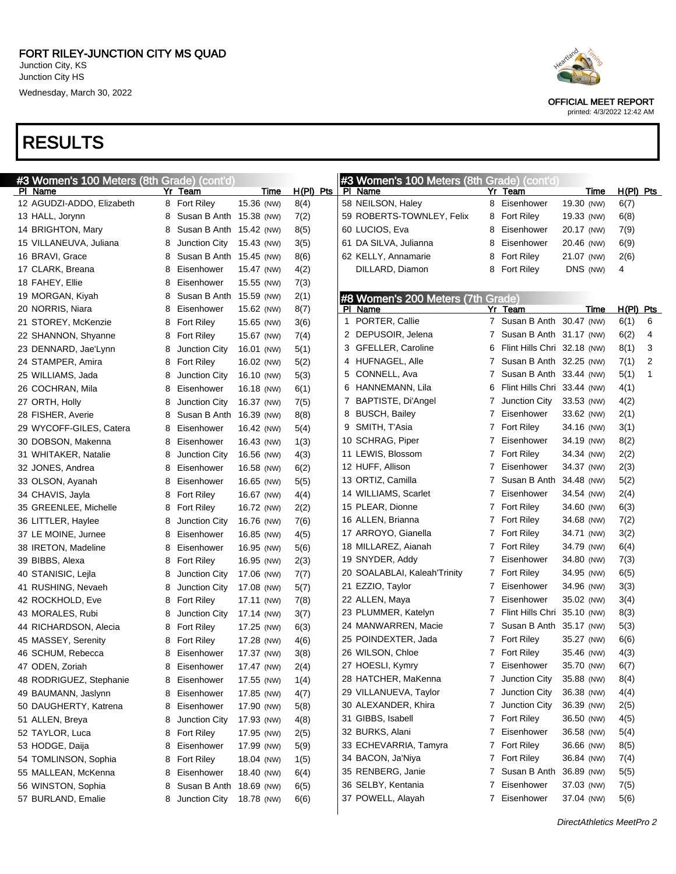



OFFICIAL MEET REPORT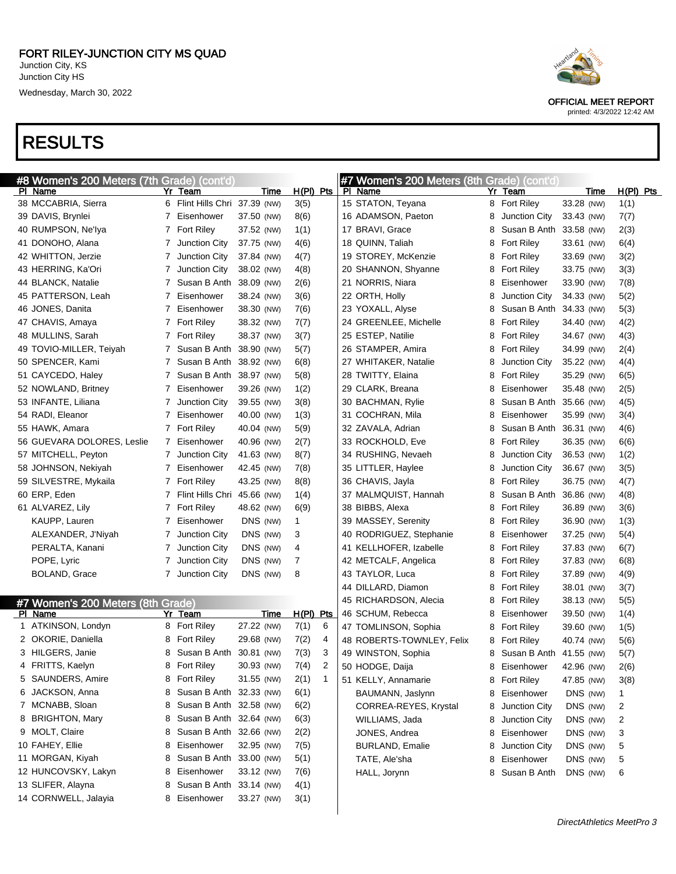| #8 Women's 200 Meters (7th Grade) (cont'd)   |                |                               |             |             | #7 Women's 200 Meters (8th Grade) (cont'd) |   |                         |                        |             |
|----------------------------------------------|----------------|-------------------------------|-------------|-------------|--------------------------------------------|---|-------------------------|------------------------|-------------|
| PI Name                                      |                | Yr Team                       | Time        | $H(PI)$ Pts | PI Name                                    |   | Yr Team                 | Time                   | $H(PI)$ Pts |
| 38 MCCABRIA, Sierra                          |                | 6 Flint Hills Chri 37.39 (NW) |             | 3(5)        | 15 STATON, Teyana                          |   | 8 Fort Riley            | 33.28 (NW)             | 1(1)        |
| 39 DAVIS, Brynlei                            | 7              | Eisenhower                    | 37.50 (NW)  | 8(6)        | 16 ADAMSON, Paeton                         | 8 | Junction City           | 33.43 (NW)             | 7(7)        |
| 40 RUMPSON, Ne'lya                           |                | 7 Fort Riley                  | 37.52 (NW)  | 1(1)        | 17 BRAVI, Grace                            | 8 | Susan B Anth 33.58 (NW) |                        | 2(3)        |
| 41 DONOHO, Alana                             | 7              | Junction City                 | 37.75 (NW)  | 4(6)        | 18 QUINN, Taliah                           | 8 | <b>Fort Riley</b>       | 33.61 (NW)             | 6(4)        |
| 42 WHITTON, Jerzie                           | $\overline{7}$ | Junction City                 | 37.84 (NW)  | 4(7)        | 19 STOREY, McKenzie                        | 8 | <b>Fort Riley</b>       | 33.69 (NW)             | 3(2)        |
| 43 HERRING, Ka'Ori                           | $\mathbf{7}$   | Junction City                 | 38.02 (NW)  | 4(8)        | 20 SHANNON, Shyanne                        | 8 | <b>Fort Riley</b>       | 33.75 (NW)             | 3(3)        |
| 44 BLANCK, Natalie                           | 7              | Susan B Anth                  | 38.09 (NW)  | 2(6)        | 21 NORRIS, Niara                           | 8 | Eisenhower              | 33.90 (NW)             | 7(8)        |
| 45 PATTERSON, Leah                           | 7              | Eisenhower                    | 38.24 (NW)  | 3(6)        | 22 ORTH, Holly                             | 8 | Junction City           | 34.33 (NW)             | 5(2)        |
| 46 JONES, Danita                             | 7              | Eisenhower                    | 38.30 (NW)  | 7(6)        | 23 YOXALL, Alyse                           | 8 | Susan B Anth 34.33 (NW) |                        | 5(3)        |
| 47 CHAVIS, Amaya                             |                | 7 Fort Riley                  | 38.32 (NW)  | 7(7)        | 24 GREENLEE, Michelle                      | 8 | <b>Fort Riley</b>       | 34.40 (NW)             | 4(2)        |
| 48 MULLINS, Sarah                            |                | 7 Fort Riley                  | 38.37 (NW)  | 3(7)        | 25 ESTEP, Natilie                          | 8 | <b>Fort Riley</b>       | 34.67 (NW)             | 4(3)        |
| 49 TOVIO-MILLER, Teiyah                      | $\overline{7}$ | Susan B Anth                  | 38.90 (NW)  | 5(7)        | 26 STAMPER, Amira                          | 8 | <b>Fort Riley</b>       | 34.99 (NW)             | 2(4)        |
| 50 SPENCER, Kami                             | 7              | Susan B Anth 38.92 (NW)       |             | 6(8)        | 27 WHITAKER, Natalie                       | 8 | Junction City           | 35.22 (NW)             | 4(4)        |
| 51 CAYCEDO, Haley                            | 7              | Susan B Anth                  | 38.97 (NW)  | 5(8)        | 28 TWITTY, Elaina                          | 8 | <b>Fort Riley</b>       | 35.29 (NW)             | 6(5)        |
| 52 NOWLAND, Britney                          | 7              | Eisenhower                    | 39.26 (NW)  | 1(2)        | 29 CLARK, Breana                           | 8 | Eisenhower              | 35.48 (NW)             | 2(5)        |
| 53 INFANTE, Liliana                          | 7              | <b>Junction City</b>          | 39.55 (NW)  | 3(8)        | 30 BACHMAN, Rylie                          | 8 | Susan B Anth 35.66 (NW) |                        | 4(5)        |
| 54 RADI, Eleanor                             | 7              | Eisenhower                    | 40.00 (NW)  | 1(3)        | 31 COCHRAN, Mila                           | 8 | Eisenhower              | 35.99 (NW)             | 3(4)        |
| 55 HAWK, Amara                               |                | 7 Fort Riley                  | 40.04 (NW)  | 5(9)        | 32 ZAVALA, Adrian                          | 8 | Susan B Anth 36.31 (NW) |                        | 4(6)        |
| 56 GUEVARA DOLORES, Leslie                   | 7              | Eisenhower                    | 40.96 (NW)  | 2(7)        | 33 ROCKHOLD, Eve                           | 8 | <b>Fort Riley</b>       | 36.35 (NW)             | 6(6)        |
| 57 MITCHELL, Peyton                          | $\mathbf{7}$   | Junction City                 | 41.63 (NW)  | 8(7)        | 34 RUSHING, Nevaeh                         | 8 | Junction City           | 36.53 (NW)             | 1(2)        |
| 58 JOHNSON, Nekiyah                          | 7              | Eisenhower                    | 42.45 (NW)  | 7(8)        | 35 LITTLER, Haylee                         | 8 | Junction City           | 36.67 (NW)             | 3(5)        |
| 59 SILVESTRE, Mykaila                        |                | 7 Fort Riley                  | 43.25 (NW)  | 8(8)        | 36 CHAVIS, Jayla                           | 8 | <b>Fort Riley</b>       | 36.75 (NW)             | 4(7)        |
| 60 ERP, Eden                                 | 7              | Flint Hills Chri 45.66 (NW)   |             | 1(4)        | 37 MALMQUIST, Hannah                       | 8 | Susan B Anth 36.86 (NW) |                        | 4(8)        |
| 61 ALVAREZ, Lily                             | $\overline{7}$ | <b>Fort Riley</b>             | 48.62 (NW)  | 6(9)        | 38 BIBBS, Alexa                            | 8 | <b>Fort Riley</b>       | 36.89 (NW)             | 3(6)        |
| KAUPP, Lauren                                | 7              | Eisenhower                    | DNS (NW)    | 1           | 39 MASSEY, Serenity                        | 8 | <b>Fort Riley</b>       | 36.90 (NW)             | 1(3)        |
| ALEXANDER, J'Niyah                           | 7              | <b>Junction City</b>          | DNS (NW)    | 3           | 40 RODRIGUEZ, Stephanie                    | 8 | Eisenhower              | 37.25 (NW)             | 5(4)        |
| PERALTA, Kanani                              | 7              | <b>Junction City</b>          | DNS (NW)    | 4           | 41 KELLHOFER, Izabelle                     | 8 | <b>Fort Riley</b>       | 37.83 (NW)             | 6(7)        |
| POPE, Lyric                                  | 7              | <b>Junction City</b>          | DNS (NW)    | 7           | 42 METCALF, Angelica                       | 8 | <b>Fort Riley</b>       | 37.83 (NW)             | 6(8)        |
| <b>BOLAND, Grace</b>                         |                | 7 Junction City               | DNS (NW)    | 8           | 43 TAYLOR, Luca                            | 8 | <b>Fort Riley</b>       | 37.89 (NW)             | 4(9)        |
|                                              |                |                               |             |             | 44 DILLARD, Diamon                         | 8 | <b>Fort Riley</b>       | 38.01 (NW)             | 3(7)        |
|                                              |                |                               |             |             | 45 RICHARDSON, Alecia                      | 8 | <b>Fort Riley</b>       | 38.13 (NW)             | 5(5)        |
| #7 Women's 200 Meters (8th Grade)<br>PI Name |                | Yr Team                       | <b>Time</b> | $H(PI)$ Pts | 46 SCHUM, Rebecca                          | 8 | Eisenhower              | 39.50 (NW)             | 1(4)        |
| 1 ATKINSON, Londyn                           |                | 8 Fort Riley                  | 27.22 (NW)  | 7(1)<br>6   | 47 TOMLINSON, Sophia                       | 8 | <b>Fort Riley</b>       | 39.60 (NW)             | 1(5)        |
| 2 OKORIE, Daniella                           | 8              | <b>Fort Riley</b>             | 29.68 (NW)  | 7(2)<br>4   | 48 ROBERTS-TOWNLEY, Felix                  | 8 | <b>Fort Riley</b>       | 40.74 (NW)             | 5(6)        |
| 3 HILGERS, Janie                             | 8              | Susan B Anth                  | 30.81 (NW)  | 7(3)<br>3   | 49 WINSTON, Sophia                         | 8 | Susan B Anth 41.55 (NW) |                        | 5(7)        |
| 4 FRITTS, Kaelyn                             | 8              | Fort Riley                    | 30.93 (NW)  | 7(4)<br>2   | 50 HODGE, Daija                            |   | 8 Eisenhower 42.96 (NW) |                        | 2(6)        |
| 5 SAUNDERS, Amire                            |                | 8 Fort Riley                  | 31.55 (NW)  | 2(1)<br>1   |                                            |   |                         |                        |             |
| 6 JACKSON, Anna                              | 8              | Susan B Anth 32.33 (NW)       |             | 6(1)        | 51 KELLY, Annamarie<br>BAUMANN, Jaslynn    | 8 | <b>Fort Riley</b>       | 47.85 (NW)<br>DNS (NW) | 3(8)        |
| 7 MCNABB, Sloan                              | 8              | Susan B Anth 32.58 (NW)       |             | 6(2)        |                                            | 8 | Eisenhower              |                        | 1           |
| 8 BRIGHTON, Mary                             | 8              | Susan B Anth 32.64 (NW)       |             | 6(3)        | CORREA-REYES, Krystal                      | 8 | Junction City           | DNS (NW)               | 2           |
| 9 MOLT, Claire                               |                | Susan B Anth 32.66 (NW)       |             |             | WILLIAMS, Jada                             | 8 | Junction City           | DNS (NW)               | 2           |
| 10 FAHEY, Ellie                              | 8<br>8         | Eisenhower                    | 32.95 (NW)  | 2(2)        | JONES, Andrea                              | 8 | Eisenhower              | DNS (NW)               | 3           |
| 11 MORGAN, Kiyah                             |                | Susan B Anth                  | 33.00 (NW)  | 7(5)        | <b>BURLAND, Emalie</b>                     | 8 | Junction City           | DNS (NW)               | 5           |
|                                              | 8              | Eisenhower                    |             | 5(1)        | TATE, Ale'sha                              | 8 | Eisenhower              | DNS (NW)               | 5           |
| 12 HUNCOVSKY, Lakyn                          | 8              |                               | 33.12 (NW)  | 7(6)        | HALL, Jorynn                               | 8 | Susan B Anth            | DNS (NW)               | 6           |
| 13 SLIFER, Alayna                            | 8              | Susan B Anth                  | 33.14 (NW)  | 4(1)        |                                            |   |                         |                        |             |
| 14 CORNWELL, Jalayia                         |                | 8 Eisenhower                  | 33.27 (NW)  | 3(1)        |                                            |   |                         |                        |             |

OFFICIAL MEET REPORT printed: 4/3/2022 12:42 AM

DirectAthletics MeetPro 3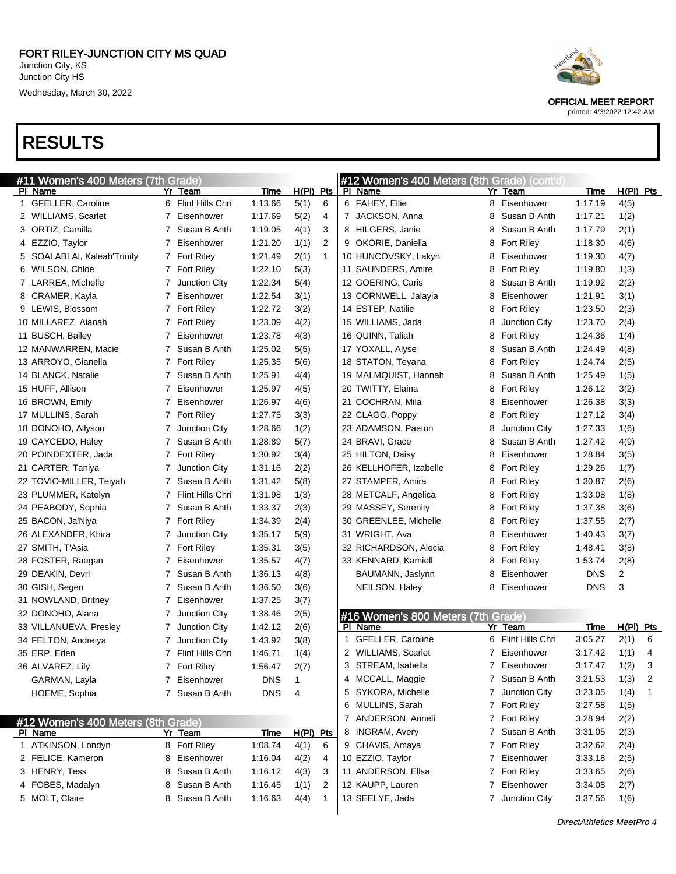## RESULTS

| #11 Women's 400 Meters (7th Grade) |   |                    |             |             |                |    | #12 Women's 400 Meters (8th Grade) (cont'd) |                |                   |            |             |   |
|------------------------------------|---|--------------------|-------------|-------------|----------------|----|---------------------------------------------|----------------|-------------------|------------|-------------|---|
| PI Name                            |   | Yr Team            | Time        | H(PI) Pts   |                |    | PI Name                                     |                | Yr Team           | Time       | $H(PI)$ Pts |   |
| 1 GFELLER, Caroline                |   | 6 Flint Hills Chri | 1:13.66     | 5(1)        | 6              |    | 6 FAHEY, Ellie                              | 8              | Eisenhower        | 1:17.19    | 4(5)        |   |
| 2 WILLIAMS, Scarlet                |   | 7 Eisenhower       | 1:17.69     | 5(2)        | 4              |    | 7 JACKSON, Anna                             | 8              | Susan B Anth      | 1:17.21    | 1(2)        |   |
| 3 ORTIZ, Camilla                   |   | 7 Susan B Anth     | 1:19.05     | 4(1)        | 3              |    | 8 HILGERS, Janie                            | 8              | Susan B Anth      | 1:17.79    | 2(1)        |   |
| 4 EZZIO, Taylor                    |   | 7 Eisenhower       | 1:21.20     | 1(1)        | $\overline{2}$ |    | 9 OKORIE, Daniella                          | 8              | <b>Fort Riley</b> | 1:18.30    | 4(6)        |   |
| 5 SOALABLAI, Kaleah'Trinity        |   | 7 Fort Riley       | 1:21.49     | 2(1)        | $\mathbf{1}$   |    | 10 HUNCOVSKY, Lakyn                         | 8              | Eisenhower        | 1:19.30    | 4(7)        |   |
| 6 WILSON, Chloe                    |   | 7 Fort Riley       | 1:22.10     | 5(3)        |                |    | 11 SAUNDERS, Amire                          | 8              | <b>Fort Riley</b> | 1:19.80    | 1(3)        |   |
| 7 LARREA, Michelle                 | 7 | Junction City      | 1:22.34     | 5(4)        |                |    | 12 GOERING, Caris                           | 8              | Susan B Anth      | 1:19.92    | 2(2)        |   |
| 8 CRAMER, Kayla                    | 7 | Eisenhower         | 1:22.54     | 3(1)        |                |    | 13 CORNWELL, Jalayia                        | 8              | Eisenhower        | 1:21.91    | 3(1)        |   |
| 9 LEWIS, Blossom                   |   | 7 Fort Riley       | 1:22.72     | 3(2)        |                |    | 14 ESTEP, Natilie                           | 8              | <b>Fort Riley</b> | 1:23.50    | 2(3)        |   |
| 10 MILLAREZ, Aianah                |   | 7 Fort Riley       | 1:23.09     | 4(2)        |                |    | 15 WILLIAMS, Jada                           | 8              | Junction City     | 1:23.70    | 2(4)        |   |
| 11 BUSCH, Bailey                   | 7 | Eisenhower         | 1:23.78     | 4(3)        |                |    | 16 QUINN, Taliah                            | 8              | <b>Fort Riley</b> | 1:24.36    | 1(4)        |   |
| 12 MANWARREN, Macie                | 7 | Susan B Anth       | 1:25.02     | 5(5)        |                |    | 17 YOXALL, Alyse                            | 8              | Susan B Anth      | 1:24.49    | 4(8)        |   |
| 13 ARROYO, Gianella                |   | 7 Fort Riley       | 1:25.35     | 5(6)        |                |    | 18 STATON, Teyana                           | 8              | <b>Fort Riley</b> | 1:24.74    | 2(5)        |   |
| 14 BLANCK, Natalie                 | 7 | Susan B Anth       | 1:25.91     | 4(4)        |                |    | 19 MALMQUIST, Hannah                        | 8              | Susan B Anth      | 1:25.49    | 1(5)        |   |
| 15 HUFF, Allison                   | 7 | Eisenhower         | 1:25.97     | 4(5)        |                |    | 20 TWITTY, Elaina                           | 8              | <b>Fort Riley</b> | 1:26.12    | 3(2)        |   |
| 16 BROWN, Emily                    | 7 | Eisenhower         | 1:26.97     | 4(6)        |                |    | 21 COCHRAN, Mila                            | 8              | Eisenhower        | 1:26.38    | 3(3)        |   |
| 17 MULLINS, Sarah                  |   | 7 Fort Riley       | 1:27.75     | 3(3)        |                |    | 22 CLAGG, Poppy                             | 8              | <b>Fort Riley</b> | 1:27.12    | 3(4)        |   |
| 18 DONOHO, Allyson                 | 7 | Junction City      | 1:28.66     | 1(2)        |                |    | 23 ADAMSON, Paeton                          | 8              | Junction City     | 1:27.33    | 1(6)        |   |
| 19 CAYCEDO, Haley                  | 7 | Susan B Anth       | 1:28.89     | 5(7)        |                |    | 24 BRAVI, Grace                             | 8              | Susan B Anth      | 1:27.42    | 4(9)        |   |
| 20 POINDEXTER, Jada                |   | 7 Fort Riley       | 1:30.92     | 3(4)        |                |    | 25 HILTON, Daisy                            | 8              | Eisenhower        | 1:28.84    | 3(5)        |   |
| 21 CARTER, Taniya                  | 7 | Junction City      | 1:31.16     | 2(2)        |                |    | 26 KELLHOFER, Izabelle                      | 8              | <b>Fort Riley</b> | 1:29.26    | 1(7)        |   |
| 22 TOVIO-MILLER, Teiyah            | 7 | Susan B Anth       | 1:31.42     | 5(8)        |                |    | 27 STAMPER, Amira                           | 8              | <b>Fort Riley</b> | 1:30.87    | 2(6)        |   |
| 23 PLUMMER, Katelyn                | 7 | Flint Hills Chri   | 1:31.98     | 1(3)        |                |    | 28 METCALF, Angelica                        | 8              | <b>Fort Riley</b> | 1:33.08    | 1(8)        |   |
| 24 PEABODY, Sophia                 | 7 | Susan B Anth       | 1:33.37     | 2(3)        |                |    | 29 MASSEY, Serenity                         | 8              | <b>Fort Riley</b> | 1:37.38    | 3(6)        |   |
| 25 BACON, Ja'Niya                  |   | 7 Fort Riley       | 1:34.39     | 2(4)        |                |    | 30 GREENLEE, Michelle                       | 8              | Fort Riley        | 1:37.55    | 2(7)        |   |
| 26 ALEXANDER, Khira                | 7 | Junction City      | 1:35.17     | 5(9)        |                |    | 31 WRIGHT, Ava                              | 8              | Eisenhower        | 1:40.43    | 3(7)        |   |
| 27 SMITH, T'Asia                   |   | 7 Fort Riley       | 1:35.31     | 3(5)        |                |    | 32 RICHARDSON, Alecia                       | 8              | <b>Fort Riley</b> | 1:48.41    | 3(8)        |   |
| 28 FOSTER, Raegan                  | 7 | Eisenhower         | 1:35.57     | 4(7)        |                |    | 33 KENNARD, Kamiell                         | 8              | <b>Fort Riley</b> | 1:53.74    | 2(8)        |   |
| 29 DEAKIN, Devri                   | 7 | Susan B Anth       | 1:36.13     | 4(8)        |                |    | BAUMANN, Jaslynn                            | 8              | Eisenhower        | <b>DNS</b> | 2           |   |
| 30 GISH, Segen                     | 7 | Susan B Anth       | 1:36.50     | 3(6)        |                |    | NEILSON, Haley                              | 8              | Eisenhower        | <b>DNS</b> | 3           |   |
| 31 NOWLAND, Britney                | 7 | Eisenhower         | 1:37.25     | 3(7)        |                |    |                                             |                |                   |            |             |   |
| 32 DONOHO, Alana                   | 7 | Junction City      | 1:38.46     | 2(5)        |                |    | #16 Women's 800 Meters (7th Grade)          |                |                   |            |             |   |
| 33 VILLANUEVA, Presley             | 7 | Junction City      | 1:42.12     | 2(6)        |                |    | PI Name                                     |                | Yr Team           | Time       | $H(PI)$ Pts |   |
| 34 FELTON, Andreiya                |   | Junction City      | 1:43.92     | 3(8)        |                | 1. | GFELLER, Caroline                           | 6              | Flint Hills Chri  | 3:05.27    | 2(1)        | 6 |
| 35 ERP, Eden                       |   | 7 Flint Hills Chri | 1.46.71     | 1(4)        |                |    | 2 WILLIAMS, Scarlet                         | $\overline{7}$ | Eisenhower        | 3:17.42    | 1(1)        | 4 |
| 36 ALVAREZ, Lily                   |   | 7 Fort Riley       | 1:56.47     | 2(7)        |                | 3  | STREAM, Isabella                            |                | 7 Eisenhower      | 3:17.47    | 1(2)        | 3 |
| GARMAN, Layla                      |   | 7 Eisenhower       | DNS         | 1           |                |    | 4 MCCALL, Maggie                            |                | 7 Susan B Anth    | 3:21.53    | 1(3)        | 2 |
| HOEME, Sophia                      |   | 7 Susan B Anth     | <b>DNS</b>  | 4           |                |    | 5 SYKORA, Michelle                          |                | 7 Junction City   | 3:23.05    | 1(4)        | 1 |
|                                    |   |                    |             |             |                | 6  | MULLINS, Sarah                              |                | 7 Fort Riley      | 3:27.58    | 1(5)        |   |
| #12 Women's 400 Meters (8th Grade) |   |                    |             |             |                |    | 7 ANDERSON, Anneli                          |                | 7 Fort Riley      | 3:28.94    | 2(2)        |   |
| PI Name                            |   | Yr Team            | <u>Time</u> | $H(PI)$ Pts |                | 8  | INGRAM, Avery                               |                | 7 Susan B Anth    | 3:31.05    | 2(3)        |   |
| 1 ATKINSON, Londyn                 |   | 8 Fort Riley       | 1:08.74     | 4(1)        | 6              |    | 9 CHAVIS, Amaya                             |                | 7 Fort Riley      | 3:32.62    | 2(4)        |   |
| 2 FELICE, Kameron                  | 8 | Eisenhower         | 1:16.04     | 4(2)        | 4              |    | 10 EZZIO, Taylor                            |                | 7 Eisenhower      | 3:33.18    | 2(5)        |   |
| 3 HENRY, Tess                      | 8 | Susan B Anth       | 1:16.12     | 4(3)        | 3              |    | 11 ANDERSON, Ellsa                          |                | 7 Fort Riley      | 3:33.65    | 2(6)        |   |
| 4 FOBES, Madalyn                   | 8 | Susan B Anth       | 1:16.45     | 1(1)        | 2              |    | 12 KAUPP, Lauren                            |                | 7 Eisenhower      | 3:34.08    | 2(7)        |   |
| 5 MOLT, Claire                     | 8 | Susan B Anth       | 1:16.63     | 4(4)        | $\mathbf{1}$   |    | 13 SEELYE, Jada                             |                | 7 Junction City   | 3:37.56    | 1(6)        |   |
|                                    |   |                    |             |             |                |    |                                             |                |                   |            |             |   |



OFFICIAL MEET REPORT

printed: 4/3/2022 12:42 AM

DirectAthletics MeetPro 4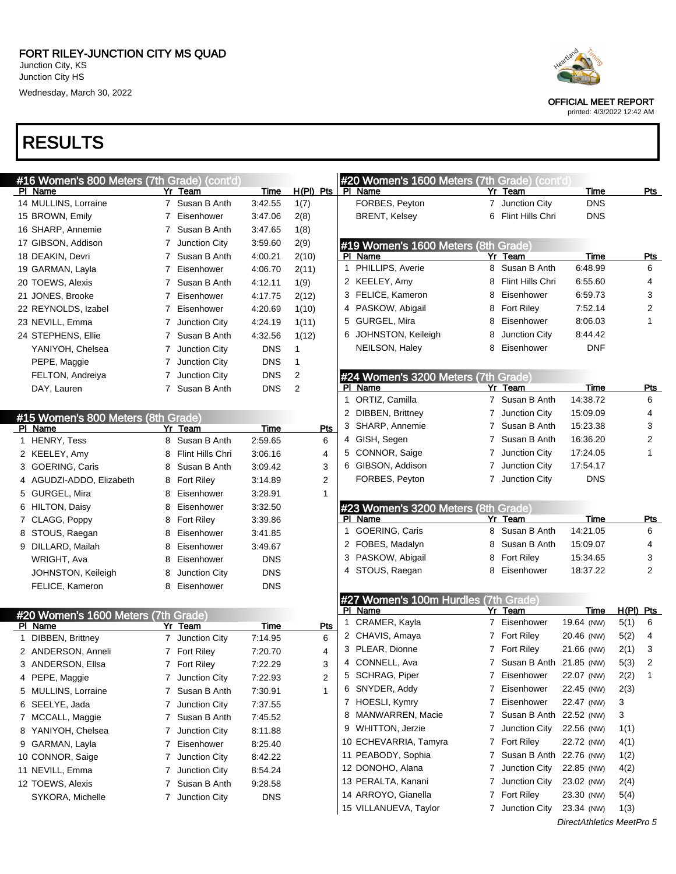## RESULTS

|    | #16 Women's 800 Meters (7th Grade) (cont'd) |   |               |            |              |
|----|---------------------------------------------|---|---------------|------------|--------------|
| PL | Name                                        |   | Yr Team       | Time       | H(PI)<br>Pts |
|    | 14 MULLINS, Lorraine                        | 7 | Susan B Anth  | 3:42.55    | 1(7)         |
|    | 15 BROWN, Emily                             | 7 | Eisenhower    | 3.47.06    | 2(8)         |
|    | 16 SHARP, Annemie                           | 7 | Susan B Anth  | 3:47.65    | 1(8)         |
|    | 17 GIBSON, Addison                          | 7 | Junction City | 3:59.60    | 2(9)         |
|    | 18 DEAKIN, Devri                            | 7 | Susan B Anth  | 4:00.21    | 2(10)        |
|    | 19 GARMAN, Layla                            | 7 | Eisenhower    | 4:06.70    | 2(11)        |
|    | 20 TOEWS, Alexis                            | 7 | Susan B Anth  | 4:12.11    | 1(9)         |
|    | 21 JONES, Brooke                            | 7 | Eisenhower    | 4:17.75    | 2(12)        |
|    | 22 REYNOLDS, Izabel                         | 7 | Eisenhower    | 4:20.69    | 1(10)        |
|    | 23 NEVILL, Emma                             | 7 | Junction City | 4.24.19    | 1(11)        |
|    | 24 STEPHENS, Ellie                          | 7 | Susan B Anth  | 4:32.56    | 1(12)        |
|    | YANIYOH, Chelsea                            | 7 | Junction City | <b>DNS</b> | 1            |
|    | PEPE, Maggie                                | 7 | Junction City | <b>DNS</b> | 1            |
|    | FELTON, Andreiya                            | 7 | Junction City | <b>DNS</b> | 2            |
|    | DAY, Lauren                                 | 7 | Susan B Anth  | <b>DNS</b> | 2            |
|    |                                             |   |               |            |              |

| #15 Women's 800 Meters (8th Grade) |                        |    |                   |            |     |  |  |  |  |  |
|------------------------------------|------------------------|----|-------------------|------------|-----|--|--|--|--|--|
| ΡI                                 | Name                   | Yr | Team              | Time       | Pts |  |  |  |  |  |
| 1                                  | <b>HENRY, Tess</b>     | 8  | Susan B Anth      | 2:59.65    | 6   |  |  |  |  |  |
|                                    | 2 KEELEY, Amy          | 8  | Flint Hills Chri  | 3:06.16    | 4   |  |  |  |  |  |
| 3                                  | <b>GOERING, Caris</b>  | 8  | Susan B Anth      | 3:09.42    | 3   |  |  |  |  |  |
| 4                                  | AGUDZI-ADDO, Elizabeth | 8  | <b>Fort Riley</b> | 3:14.89    | 2   |  |  |  |  |  |
| 5.                                 | GURGEL, Mira           | 8  | Eisenhower        | 3:28.91    | 1   |  |  |  |  |  |
| 6                                  | <b>HILTON, Daisy</b>   | 8  | Eisenhower        | 3:32.50    |     |  |  |  |  |  |
| 7                                  | CLAGG, Poppy           | 8  | <b>Fort Riley</b> | 3.39.86    |     |  |  |  |  |  |
| 8                                  | STOUS, Raegan          | 8  | Eisenhower        | 3.41.85    |     |  |  |  |  |  |
| 9                                  | DILLARD, Mailah        | 8  | Eisenhower        | 3:49.67    |     |  |  |  |  |  |
|                                    | WRIGHT, Ava            | 8  | Eisenhower        | <b>DNS</b> |     |  |  |  |  |  |
|                                    | JOHNSTON, Keileigh     | 8  | Junction City     | <b>DNS</b> |     |  |  |  |  |  |
|                                    | FELICE, Kameron        | 8  | Eisenhower        | <b>DNS</b> |     |  |  |  |  |  |

#### #20 Women's 1600 Meters (7th Grade)

| ΡI | Name                |   | Yr Team           | Time       | Pts |
|----|---------------------|---|-------------------|------------|-----|
| 1  | DIBBEN, Brittney    | 7 | Junction City     | 7:14.95    | 6   |
|    | 2 ANDERSON, Anneli  |   | <b>Fort Riley</b> | 7:20.70    | 4   |
|    | 3 ANDERSON, Ellsa   | 7 | <b>Fort Riley</b> | 7:22.29    | 3   |
|    | 4 PEPE, Maggie      | 7 | Junction City     | 7:22.93    | 2   |
|    | 5 MULLINS, Lorraine | 7 | Susan B Anth      | 7:30.91    | 1   |
|    | 6 SEELYE, Jada      | 7 | Junction City     | 7:37.55    |     |
|    | 7 MCCALL, Maggie    |   | Susan B Anth      | 7:45.52    |     |
|    | 8 YANIYOH, Chelsea  | 7 | Junction City     | 8:11.88    |     |
|    | 9 GARMAN, Layla     | 7 | Eisenhower        | 8:25.40    |     |
|    | 10 CONNOR, Saige    | 7 | Junction City     | 8:42.22    |     |
|    | 11 NEVILL, Emma     | 7 | Junction City     | 8:54.24    |     |
|    | 12 TOEWS, Alexis    |   | Susan B Anth      | 9.28.58    |     |
|    | SYKORA, Michelle    | 7 | Junction City     | <b>DNS</b> |     |
|    |                     |   |                   |            |     |



OFFICIAL MEET REPORT

| Pts                     |        | #20 Women's 1600 Meters (7th Grade) (cont'd)<br>PI Name |                | Yr Team                       | <u>Time</u>              |              | Pts |
|-------------------------|--------|---------------------------------------------------------|----------------|-------------------------------|--------------------------|--------------|-----|
|                         |        | FORBES, Peyton                                          | $7^{\circ}$    | Junction City                 | <b>DNS</b>               |              |     |
|                         |        | <b>BRENT, Kelsey</b>                                    |                | 6 Flint Hills Chri            | <b>DNS</b>               |              |     |
|                         |        |                                                         |                |                               |                          |              |     |
|                         |        | #19 Women's 1600 Meters (8th Grade)                     |                |                               |                          |              |     |
|                         |        | PI Name                                                 |                | Yr Team                       | <u>Time</u>              |              | Pts |
|                         |        | 1 PHILLIPS, Averie                                      | 8              | Susan B Anth                  | 6:48.99                  | 6            |     |
|                         |        | 2 KEELEY, Amy                                           |                | 8 Flint Hills Chri            | 6:55.60                  | 4            |     |
|                         |        | 3 FELICE, Kameron                                       |                | 8 Eisenhower                  | 6:59.73                  | 3            |     |
|                         |        | 4 PASKOW, Abigail                                       |                | 8 Fort Riley                  | 7:52.14                  | 2            |     |
|                         |        | 5 GURGEL, Mira                                          |                | 8 Eisenhower                  | 8:06.03                  | 1            |     |
|                         |        | 6 JOHNSTON, Keileigh                                    |                | 8 Junction City               | 8:44.42                  |              |     |
|                         |        | NEILSON, Haley                                          |                | 8 Eisenhower                  | <b>DNF</b>               |              |     |
|                         |        |                                                         |                |                               |                          |              |     |
|                         |        | #24 Women's 3200 Meters (7th Grade)<br>PI Name          |                |                               |                          |              |     |
|                         | 1.     | ORTIZ, Camilla                                          | $7^{\circ}$    | Yr Team<br>Susan B Anth       | Time<br>14:38.72         | 6            | Pts |
|                         |        | 2 DIBBEN, Brittney                                      | $7\phantom{.}$ | Junction City                 | 15:09.09                 | 4            |     |
|                         |        | 3 SHARP, Annemie                                        |                | 7 Susan B Anth                | 15:23.38                 | 3            |     |
| Pts<br>6                |        | 4 GISH, Segen                                           |                | 7 Susan B Anth                | 16:36.20                 | 2            |     |
| 4                       |        | 5 CONNOR, Saige                                         |                | 7 Junction City               | 17:24.05                 | 1            |     |
| 3                       |        | 6 GIBSON, Addison                                       |                | 7 Junction City               | 17:54.17                 |              |     |
| 2                       |        | FORBES, Peyton                                          | $7^{\circ}$    | Junction City                 | <b>DNS</b>               |              |     |
| 1                       |        |                                                         |                |                               |                          |              |     |
|                         |        |                                                         |                |                               |                          |              |     |
|                         |        |                                                         |                |                               |                          |              |     |
|                         |        | #23 Women's 3200 Meters (8th Grade)<br>PI Name          |                | Yr Team                       | Time                     |              | Pts |
|                         | 1.     | <b>GOERING, Caris</b>                                   |                | 8 Susan B Anth                | 14:21.05                 | 6            |     |
|                         |        | 2 FOBES, Madalyn                                        |                | 8 Susan B Anth                | 15:09.07                 | 4            |     |
|                         |        | 3 PASKOW, Abigail                                       |                | 8 Fort Riley                  | 15:34.65                 | 3            |     |
|                         |        | 4 STOUS, Raegan                                         | 8              | Eisenhower                    | 18:37.22                 | 2            |     |
|                         |        |                                                         |                |                               |                          |              |     |
|                         |        | #27 Women's 100m Hurdles (7th Grade)                    |                |                               |                          |              |     |
|                         |        | PI Name                                                 |                | Yr Team                       | <u>Time</u>              | $H(PI)$ Pts  |     |
| Pts                     | 1      | CRAMER, Kayla                                           | 7              | Eisenhower                    | 19.64 (NW)               | 5(1)<br>6    |     |
| 6                       |        | 2 CHAVIS, Amaya                                         |                | 7 Fort Riley                  | 20.46 (NW)               | 4<br>5(2)    |     |
| 4                       |        | 3 PLEAR, Dionne                                         | 7              | <b>Fort Riley</b>             | 21.66 (NW)               | 3<br>2(1)    |     |
| 3                       | 4      | CONNELL, Ava                                            | 7<br>7         | Susan B Anth                  | 21.85 (NW)               | 5(3)<br>2    |     |
| $\overline{\mathbf{c}}$ |        | 5 SCHRAG, Piper                                         |                | Eisenhower                    | 22.07 (NW)               | 2(2)<br>1    |     |
| 1                       | 6<br>7 | SNYDER, Addy                                            | 7<br>7         | Eisenhower<br>Eisenhower      | 22.45 (NW)               | 2(3)         |     |
|                         | 8      | HOESLI, Kymry                                           | 7              |                               | 22.47 (NW)               | 3            |     |
|                         |        | MANWARREN, Macie                                        | 7              | Susan B Anth<br>Junction City | 22.52 (NW)               | 3            |     |
|                         |        | 9 WHITTON, Jerzie                                       | 7              |                               | 22.56 (NW)               | 1(1)         |     |
|                         |        | 10 ECHEVARRIA, Tamyra                                   | 7              | Fort Riley<br>Susan B Anth    | 22.72 (NW)               | 4(1)         |     |
|                         |        | 11 PEABODY, Sophia                                      | 7              | Junction City                 | 22.76 (NW)               | 1(2)         |     |
|                         |        | 12 DONOHO, Alana                                        | 7              | Junction City                 | 22.85 (NW)<br>23.02 (NW) | 4(2)         |     |
|                         |        | 13 PERALTA, Kanani                                      | 7              |                               | 23.30 (NW)               | 2(4)         |     |
|                         |        | 14 ARROYO, Gianella<br>15 VILLANUEVA, Taylor            | 7              | Fort Riley<br>Junction City   | 23.34 (NW)               | 5(4)<br>1(3) |     |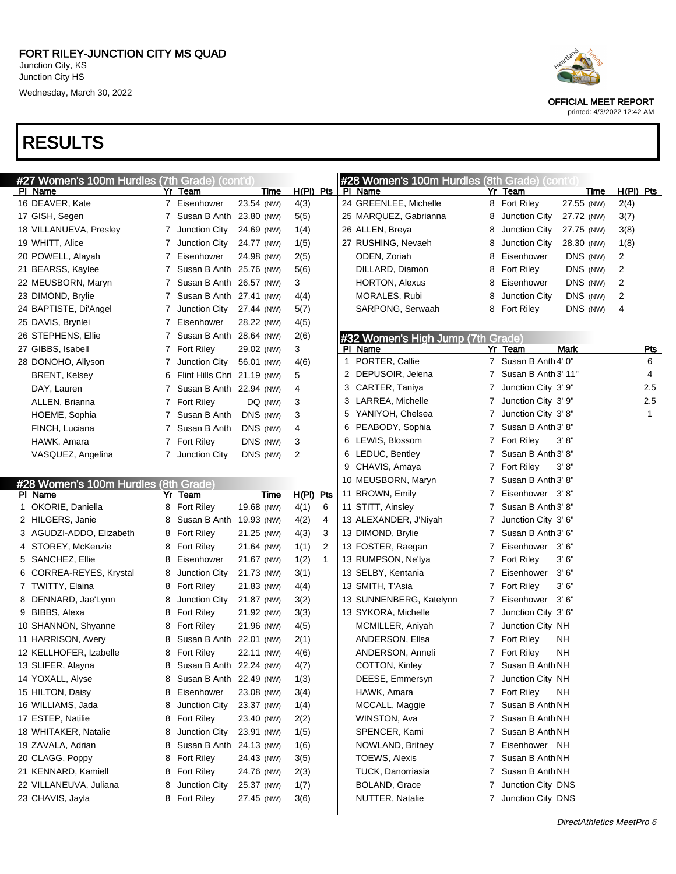

OFFICIAL MEET REPORT

printed: 4/3/2022 12:42 AM

| #27 Women's 100m Hurdles (7th Grade) (cont'd           |   |                             |            |             |             |              |   | #28 Women's 100m Hurdles (8th Grade) (cont'd |   |                       |            |             |           |            |
|--------------------------------------------------------|---|-----------------------------|------------|-------------|-------------|--------------|---|----------------------------------------------|---|-----------------------|------------|-------------|-----------|------------|
| PI Name                                                |   | Yr Team                     |            | <u>Time</u> | $H(PI)$ Pts |              |   | PI Name                                      |   | Yr Team               |            | <u>Time</u> | H(PI) Pts |            |
| 16 DEAVER, Kate                                        |   | 7 Eisenhower                | 23.54 (NW) |             | 4(3)        |              |   | 24 GREENLEE, Michelle                        |   | 8 Fort Riley          | 27.55 (NW) |             | 2(4)      |            |
| 17 GISH, Segen                                         |   | 7 Susan B Anth 23.80 (NW)   |            |             | 5(5)        |              |   | 25 MARQUEZ, Gabrianna                        | 8 | Junction City         | 27.72 (NW) |             | 3(7)      |            |
| 18 VILLANUEVA, Presley                                 |   | 7 Junction City             | 24.69 (NW) |             | 1(4)        |              |   | 26 ALLEN, Breya                              | 8 | Junction City         | 27.75 (NW) |             | 3(8)      |            |
| 19 WHITT, Alice                                        |   | Junction City               | 24.77 (NW) |             | 1(5)        |              |   | 27 RUSHING, Nevaeh                           | 8 | Junction City         | 28.30 (NW) |             | 1(8)      |            |
| 20 POWELL, Alayah                                      |   | Eisenhower                  | 24.98 (NW) |             | 2(5)        |              |   | ODEN, Zoriah                                 | 8 | Eisenhower            | DNS (NW)   |             | 2         |            |
| 21 BEARSS, Kaylee                                      |   | Susan B Anth 25.76 (NW)     |            |             | 5(6)        |              |   | DILLARD, Diamon                              | 8 | <b>Fort Riley</b>     | DNS (NW)   |             | 2         |            |
| 22 MEUSBORN, Maryn                                     |   | Susan B Anth 26.57 (NW)     |            |             | 3           |              |   | <b>HORTON, Alexus</b>                        | 8 | Eisenhower            | DNS (NW)   |             | 2         |            |
| 23 DIMOND, Brylie                                      |   | Susan B Anth 27.41 (NW)     |            |             | 4(4)        |              |   | MORALES, Rubi                                | 8 | Junction City         | DNS (NW)   |             | 2         |            |
| 24 BAPTISTE, Di'Angel                                  |   | Junction City               | 27.44 (NW) |             | 5(7)        |              |   | SARPONG, Serwaah                             |   | 8 Fort Riley          | DNS (NW)   |             | 4         |            |
| 25 DAVIS, Brynlei                                      |   | Eisenhower                  | 28.22 (NW) |             | 4(5)        |              |   |                                              |   |                       |            |             |           |            |
| 26 STEPHENS, Ellie                                     |   | Susan B Anth 28.64 (NW)     |            |             | 2(6)        |              |   | #32 Women's High Jump (7th Grade)            |   |                       |            |             |           |            |
| 27 GIBBS, Isabell                                      |   | 7 Fort Riley                | 29.02 (NW) |             | 3           |              |   | <b>PI</b> Name                               |   | Yr Team               | Mark       |             |           | <u>Pts</u> |
| 28 DONOHO, Allyson                                     | 7 | Junction City               | 56.01 (NW) |             | 4(6)        |              | 1 | PORTER, Callie                               |   | 7 Susan B Anth 4' 0"  |            |             |           | 6          |
| <b>BRENT, Kelsey</b>                                   | 6 | Flint Hills Chri 21.19 (NW) |            |             | 5           |              |   | 2 DEPUSOIR, Jelena                           |   | 7 Susan B Anth 3' 11" |            |             |           | 4          |
| DAY, Lauren                                            |   | Susan B Anth 22.94 (NW)     |            |             | 4           |              |   | 3 CARTER, Taniya                             | 7 | Junction City 3' 9"   |            |             |           | 2.5        |
| ALLEN, Brianna                                         |   | 7 Fort Riley                | DQ (NW)    |             | 3           |              |   | 3 LARREA, Michelle                           | 7 | Junction City 3' 9"   |            |             |           | 2.5        |
| HOEME, Sophia                                          |   | Susan B Anth                | DNS (NW)   |             | 3           |              |   | 5 YANIYOH, Chelsea                           | 7 | Junction City 3'8"    |            |             |           | 1          |
| FINCH, Luciana                                         |   | Susan B Anth                | DNS (NW)   |             | 4           |              |   | 6 PEABODY, Sophia                            | 7 | Susan B Anth 3' 8"    |            |             |           |            |
| HAWK, Amara                                            |   | 7 Fort Riley                | DNS (NW)   |             | 3           |              |   | 6 LEWIS, Blossom                             |   | 7 Fort Riley          | 3' 8''     |             |           |            |
| VASQUEZ, Angelina                                      | 7 | Junction City               | DNS (NW)   |             | 2           |              |   | 6 LEDUC, Bentley                             | 7 | Susan B Anth 3' 8"    |            |             |           |            |
|                                                        |   |                             |            |             |             |              |   | 9 CHAVIS, Amaya                              |   | 7 Fort Riley          | 3' 8''     |             |           |            |
|                                                        |   |                             |            |             |             |              |   | 10 MEUSBORN, Maryn                           |   | 7 Susan B Anth 3' 8"  |            |             |           |            |
| #28 Women's 100m Hurdles (8th Grade)<br><b>PI</b> Name |   | Yr Team                     |            | <u>Time</u> | H(PI) Pts   |              |   | 11 BROWN, Emily                              | 7 | Eisenhower 3'8"       |            |             |           |            |
| 1 OKORIE, Daniella                                     |   | 8 Fort Riley                | 19.68 (NW) |             | 4(1)        | 6            |   | 11 STITT, Ainsley                            | 7 | Susan B Anth 3' 8"    |            |             |           |            |
| 2 HILGERS, Janie                                       | 8 | Susan B Anth 19.93 (NW)     |            |             | 4(2)        | 4            |   | 13 ALEXANDER, J'Niyah                        | 7 | Junction City 3' 6"   |            |             |           |            |
| 3 AGUDZI-ADDO, Elizabeth                               | 8 | <b>Fort Riley</b>           | 21.25 (NW) |             | 4(3)        | 3            |   | 13 DIMOND, Brylie                            | 7 | Susan B Anth 3' 6"    |            |             |           |            |
| 4 STOREY, McKenzie                                     | 8 | <b>Fort Riley</b>           | 21.64 (NW) |             | 1(1)        | 2            |   | 13 FOSTER, Raegan                            | 7 | Eisenhower 3'6"       |            |             |           |            |
| 5 SANCHEZ, Ellie                                       | 8 | Eisenhower                  | 21.67 (NW) |             | 1(2)        | $\mathbf{1}$ |   | 13 RUMPSON, Ne'lya                           |   | 7 Fort Riley          | 3'6''      |             |           |            |
| 6 CORREA-REYES, Krystal                                | 8 | Junction City               | 21.73 (NW) |             | 3(1)        |              |   | 13 SELBY, Kentania                           | 7 | Eisenhower            | 3' 6"      |             |           |            |
| 7 TWITTY, Elaina                                       | 8 | <b>Fort Riley</b>           | 21.83 (NW) |             | 4(4)        |              |   | 13 SMITH, T'Asia                             |   | 7 Fort Riley          | 3'6''      |             |           |            |
| 8 DENNARD, Jae'Lynn                                    | 8 | Junction City               | 21.87 (NW) |             |             |              |   | 13 SUNNENBERG, Katelynn                      | 7 | Eisenhower 3'6"       |            |             |           |            |
|                                                        |   |                             |            |             | 3(2)        |              |   |                                              |   |                       |            |             |           |            |
| 9 BIBBS, Alexa                                         | 8 | <b>Fort Riley</b>           | 21.92 (NW) |             | 3(3)        |              |   | 13 SYKORA, Michelle                          | 7 | Junction City 3' 6"   |            |             |           |            |
| 10 SHANNON, Shyanne                                    | 8 | <b>Fort Riley</b>           | 21.96 (NW) |             | 4(5)        |              |   | MCMILLER, Aniyah                             | 7 | Junction City NH      |            |             |           |            |
| 11 HARRISON, Avery                                     | 8 | Susan B Anth 22.01 (NW)     |            |             | 2(1)        |              |   | ANDERSON, Ellsa                              |   | 7 Fort Riley          | ΝH         |             |           |            |
| 12 KELLHOFER, Izabelle                                 | 8 | <b>Fort Riley</b>           | 22.11 (NW) |             | 4(6)        |              |   | ANDERSON, Anneli                             |   | 7 Fort Riley          | NΗ         |             |           |            |
| 13 SLIFER, Alayna                                      | 8 | Susan B Anth 22.24 (NW)     |            |             | 4(7)        |              |   | COTTON, Kinley                               |   | 7 Susan B Anth NH     |            |             |           |            |
| 14 YOXALL, Alyse                                       | 8 | Susan B Anth 22.49 (NW)     |            |             | 1(3)        |              |   | DEESE, Emmersyn                              |   | 7 Junction City NH    |            |             |           |            |
| 15 HILTON, Daisy                                       | 8 | Eisenhower                  | 23.08 (NW) |             | 3(4)        |              |   | HAWK, Amara                                  |   | 7 Fort Riley          | NH         |             |           |            |
| 16 WILLIAMS, Jada                                      | 8 | Junction City               | 23.37 (NW) |             | 1(4)        |              |   | MCCALL, Maggie                               |   | 7 Susan B Anth NH     |            |             |           |            |
| 17 ESTEP, Natilie                                      | 8 | Fort Riley                  | 23.40 (NW) |             | 2(2)        |              |   | WINSTON, Ava                                 | 7 | Susan B Anth NH       |            |             |           |            |
| 18 WHITAKER, Natalie                                   | 8 | Junction City               | 23.91 (NW) |             | 1(5)        |              |   | SPENCER, Kami                                | 7 | Susan B Anth NH       |            |             |           |            |
| 19 ZAVALA, Adrian                                      | 8 | Susan B Anth 24.13 (NW)     |            |             | 1(6)        |              |   | NOWLAND, Britney                             | 7 | Eisenhower NH         |            |             |           |            |
| 20 CLAGG, Poppy                                        | 8 | Fort Riley                  | 24.43 (NW) |             | 3(5)        |              |   | TOEWS, Alexis                                | 7 | Susan B Anth NH       |            |             |           |            |
| 21 KENNARD, Kamiell                                    | 8 | Fort Riley                  | 24.76 (NW) |             | 2(3)        |              |   | TUCK, Danorriasia                            | 7 | Susan B Anth NH       |            |             |           |            |
| 22 VILLANEUVA, Juliana                                 | 8 | Junction City               | 25.37 (NW) |             | 1(7)        |              |   | BOLAND, Grace                                | 7 | Junction City DNS     |            |             |           |            |
| 23 CHAVIS, Jayla                                       |   | 8 Fort Riley                | 27.45 (NW) |             | 3(6)        |              |   | NUTTER, Natalie                              |   | 7 Junction City DNS   |            |             |           |            |
|                                                        |   |                             |            |             |             |              |   |                                              |   |                       |            |             |           |            |

 $\overline{\mathbf{u}}$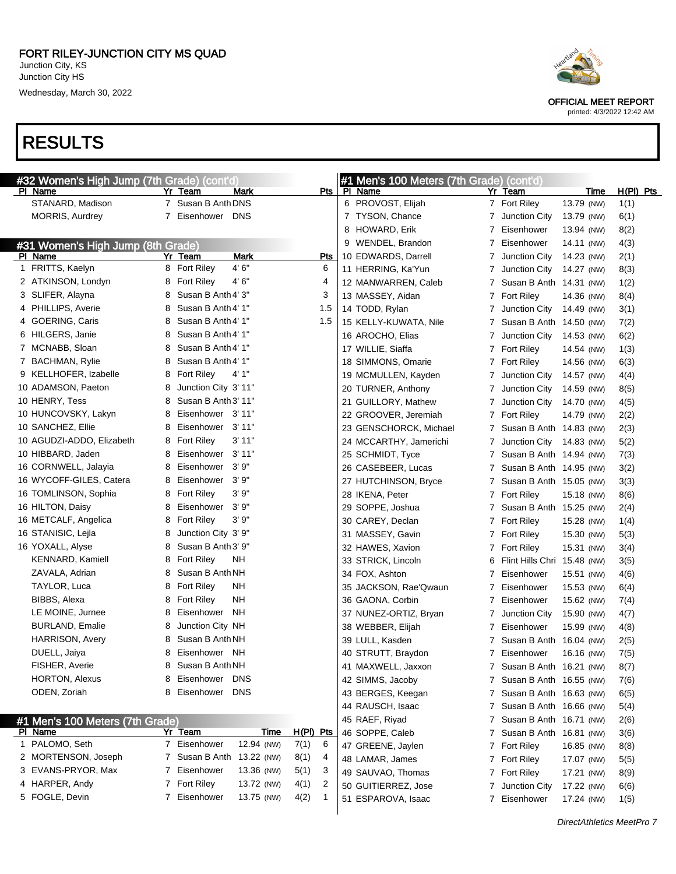#### RESULTS

| #32 Women's High Jump (7th Grade) (cont'd  |    |                                 |                      | #1 Men's 100 Meters (7th Grade) (cont'd) |    |                             |            |             |
|--------------------------------------------|----|---------------------------------|----------------------|------------------------------------------|----|-----------------------------|------------|-------------|
| PI Name                                    |    | Yr Team<br>Mark                 | Pts                  | PI Name                                  |    | Yr Team                     | Time       | $H(PI)$ Pts |
| STANARD, Madison                           |    | 7 Susan B Anth DNS              |                      | 6 PROVOST, Elijah                        |    | 7 Fort Riley                | 13.79 (NW) | 1(1)        |
| <b>MORRIS, Aurdrey</b>                     | 7  | Eisenhower DNS                  |                      | 7 TYSON, Chance                          |    | 7 Junction City             | 13.79 (NW) | 6(1)        |
|                                            |    |                                 |                      | 8 HOWARD, Erik                           |    | 7 Eisenhower                | 13.94 (NW) | 8(2)        |
| #31 Women's High Jump (8th Grade)          |    |                                 |                      | 9 WENDEL, Brandon                        | 7  | Eisenhower                  | 14.11 (NW) | 4(3)        |
| PI Name                                    |    | Mark<br>Yr Team                 | <b>Pts</b>           | 10 EDWARDS, Darrell                      | 7  | Junction City               | 14.23 (NW) | 2(1)        |
| 1 FRITTS, Kaelyn                           |    | 4' 6"<br>8 Fort Riley           | 6                    | 11 HERRING, Ka'Yun                       |    | Junction City               | 14.27 (NW) | 8(3)        |
| 2 ATKINSON, Londyn                         | 8  | 4' 6"<br><b>Fort Riley</b>      | 4                    | 12 MANWARREN, Caleb                      |    | Susan B Anth 14.31 (NW)     |            | 1(2)        |
| 3 SLIFER, Alayna                           | 8  | Susan B Anth 4' 3"              | 3                    | 13 MASSEY, Aidan                         |    | 7 Fort Riley                | 14.36 (NW) | 8(4)        |
| 4 PHILLIPS, Averie                         | 8  | Susan B Anth 4' 1"              | 1.5                  | 14 TODD, Rylan                           | 7  | Junction City               | 14.49 (NW) | 3(1)        |
| 4 GOERING, Caris                           | 8  | Susan B Anth 4' 1"              | 1.5                  | 15 KELLY-KUWATA, Nile                    |    | Susan B Anth 14.50 (NW)     |            | 7(2)        |
| 6 HILGERS, Janie                           | 8  | Susan B Anth 4' 1"              |                      | 16 AROCHO, Elias                         |    | Junction City               | 14.53 (NW) | 6(2)        |
| 7 MCNABB, Sloan                            | 8  | Susan B Anth 4' 1"              |                      | 17 WILLIE, Siaffa                        |    | 7 Fort Riley                | 14.54 (NW) | 1(3)        |
| 7 BACHMAN, Rylie                           | 8  | Susan B Anth 4' 1"              |                      | 18 SIMMONS, Omarie                       |    | 7 Fort Riley                | 14.56 (NW) | 6(3)        |
| 9 KELLHOFER, Izabelle                      | 8  | Fort Riley<br>4' 1"             |                      | 19 MCMULLEN, Kayden                      |    | Junction City               | 14.57 (NW) | 4(4)        |
| 10 ADAMSON, Paeton                         | 8  | Junction City 3' 11"            |                      | 20 TURNER, Anthony                       |    | Junction City               | 14.59 (NW) | 8(5)        |
| 10 HENRY, Tess                             | 8  | Susan B Anth 3' 11"             |                      | 21 GUILLORY, Mathew                      |    | Junction City               | 14.70 (NW) | 4(5)        |
| 10 HUNCOVSKY, Lakyn                        | 8  | Eisenhower 3'11"                |                      | 22 GROOVER, Jeremiah                     |    | 7 Fort Riley                | 14.79 (NW) | 2(2)        |
| 10 SANCHEZ, Ellie                          | 8  | Eisenhower 3'11"                |                      | 23 GENSCHORCK, Michael                   |    | Susan B Anth 14.83 (NW)     |            | 2(3)        |
| 10 AGUDZI-ADDO, Elizabeth                  | 8  | 3'11"<br>Fort Riley             |                      | 24 MCCARTHY, Jamerichi                   |    | Junction City 14.83 (NW)    |            | 5(2)        |
| 10 HIBBARD, Jaden                          | 8  | 3' 11"<br>Eisenhower            |                      | 25 SCHMIDT, Tyce                         |    | Susan B Anth 14.94 (NW)     |            | 7(3)        |
| 16 CORNWELL, Jalayia                       | 8  | 3' 9"<br>Eisenhower             |                      | 26 CASEBEER, Lucas                       |    | Susan B Anth 14.95 (NW)     |            | 3(2)        |
| 16 WYCOFF-GILES, Catera                    | 8  | 3' 9"<br>Eisenhower             |                      | 27 HUTCHINSON, Bryce                     |    | Susan B Anth 15.05 (NW)     |            | 3(3)        |
| 16 TOMLINSON, Sophia                       | 8  | 3'9''<br><b>Fort Riley</b>      |                      | 28 IKENA, Peter                          |    | 7 Fort Riley                | 15.18 (NW) | 8(6)        |
| 16 HILTON, Daisy                           | 8  | 3' 9"<br>Eisenhower             |                      | 29 SOPPE, Joshua                         |    | Susan B Anth 15.25 (NW)     |            | 2(4)        |
| 16 METCALF, Angelica                       | 8  | 3'9''<br>Fort Riley             |                      | 30 CAREY, Declan                         |    | 7 Fort Riley                | 15.28 (NW) | 1(4)        |
| 16 STANISIC, Lejla                         | 8  | Junction City 3' 9"             |                      | 31 MASSEY, Gavin                         |    | 7 Fort Riley                | 15.30 (NW) | 5(3)        |
| 16 YOXALL, Alyse                           | 8  | Susan B Anth 3' 9"              |                      | 32 HAWES, Xavion                         |    | 7 Fort Riley                | 15.31 (NW) | 3(4)        |
| KENNARD, Kamiell                           | 8  | Fort Riley<br>NΗ                |                      | 33 STRICK, Lincoln                       |    | Flint Hills Chri 15.48 (NW) |            | 3(5)        |
| ZAVALA, Adrian                             | 8  | Susan B Anth NH                 |                      | 34 FOX, Ashton                           | 7  | Eisenhower                  | 15.51 (NW) | 4(6)        |
| TAYLOR, Luca                               | 8  | <b>Fort Riley</b><br>NΗ         |                      | 35 JACKSON, Rae'Qwaun                    | 7  | Eisenhower                  | 15.53 (NW) | 6(4)        |
| BIBBS, Alexa                               | 8  | NΗ<br><b>Fort Riley</b>         |                      | 36 GAONA, Corbin                         | 7  | Eisenhower                  | 15.62 (NW) | 7(4)        |
| LE MOINE, Jurnee                           | 8  | Eisenhower<br>NH                |                      | 37 NUNEZ-ORTIZ, Bryan                    |    | 7 Junction City             | 15.90 (NW) | 4(7)        |
| <b>BURLAND, Emalie</b>                     | 8  | Junction City NH                |                      | 38 WEBBER, Elijah                        |    | Eisenhower                  | 15.99 (NW) | 4(8)        |
| <b>HARRISON, Avery</b>                     | 8  | Susan B Anth NH                 |                      | 39 LULL, Kasden                          |    | Susan B Anth 16.04 (NW)     |            | 2(5)        |
| DUELL, Jaiya                               | 8  | Eisenhower NH                   |                      | 40 STRUTT, Braydon                       | 7  | Eisenhower                  | 16.16 (NW) | 7(5)        |
| FISHER, Averie                             | 8  | Susan B Anth NH                 |                      | 41 MAXWELL, Jaxxon                       |    | 7 Susan B Anth 16.21 (NW)   |            | 8(7)        |
| HORTON, Alexus                             | 8  | Eisenhower<br><b>DNS</b>        |                      | 42 SIMMS, Jacoby                         |    | 7 Susan B Anth 16.55 (NW)   |            | 7(6)        |
| ODEN, Zoriah                               | 8  | Eisenhower<br><b>DNS</b>        |                      | 43 BERGES, Keegan                        |    | Susan B Anth 16.63 (NW)     |            |             |
|                                            |    |                                 |                      |                                          |    | Susan B Anth 16.66 (NW)     |            | 6(5)        |
|                                            |    |                                 |                      | 44 RAUSCH, Isaac                         | 7  |                             |            | 5(4)        |
| #1 Men's 100 Meters (7th Grade)<br>PI Name |    | Yr Team<br>Time                 | H(PI) Pts            | 45 RAEF, Riyad                           | 7  | Susan B Anth 16.71 (NW)     |            | 2(6)        |
| 1 PALOMO, Seth                             | 7  | 12.94 (NW)<br>Eisenhower        | 7(1)<br>6            | 46 SOPPE, Caleb                          |    | Susan B Anth 16.81 (NW)     |            | 3(6)        |
| 2 MORTENSON, Joseph                        | 7  | Susan B Anth<br>13.22 (NW)      | 8(1)<br>4            | 47 GREENE, Jaylen                        |    | 7 Fort Riley                | 16.85 (NW) | 8(8)        |
| 3 EVANS-PRYOR, Max                         | 7  | Eisenhower<br>13.36 (NW)        | 5(1)<br>3            | 48 LAMAR, James                          |    | 7 Fort Riley                | 17.07 (NW) | 5(5)        |
| 4 HARPER, Andy                             | 7. | <b>Fort Riley</b><br>13.72 (NW) | 2                    | 49 SAUVAO, Thomas                        |    | 7 Fort Riley                | 17.21 (NW) | 8(9)        |
| 5 FOGLE, Devin                             | 7  | Eisenhower                      | 4(1)                 | 50 GUITIERREZ, Jose                      | 7. | Junction City               | 17.22 (NW) | 6(6)        |
|                                            |    | 13.75 (NW)                      | 4(2)<br>$\mathbf{1}$ | 51 ESPAROVA, Isaac                       | 7. | Eisenhower                  | 17.24 (NW) | 1(5)        |
|                                            |    |                                 |                      |                                          |    |                             |            |             |



OFFICIAL MEET REPORT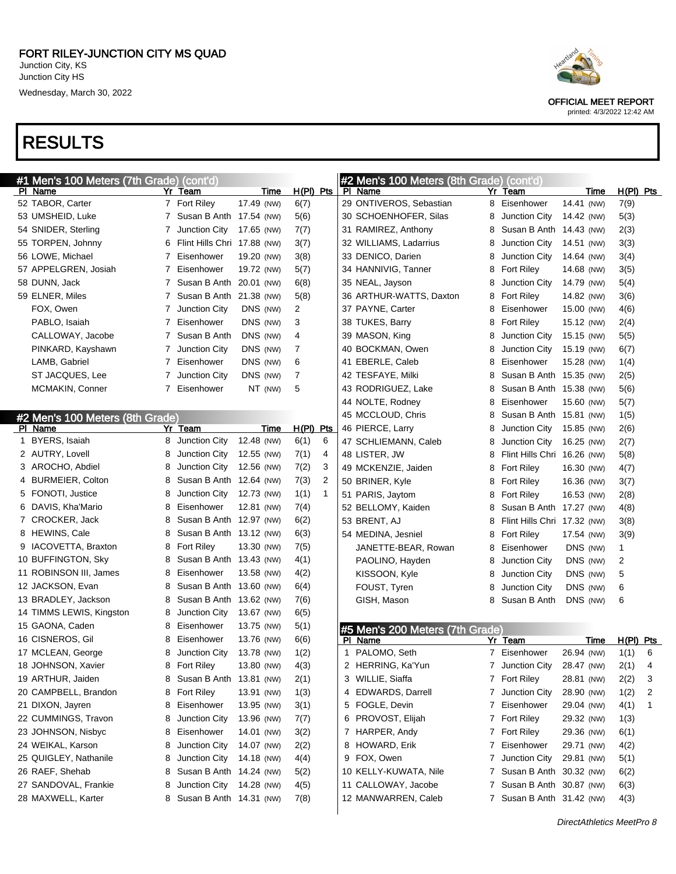



OFFICIAL MEET REPORT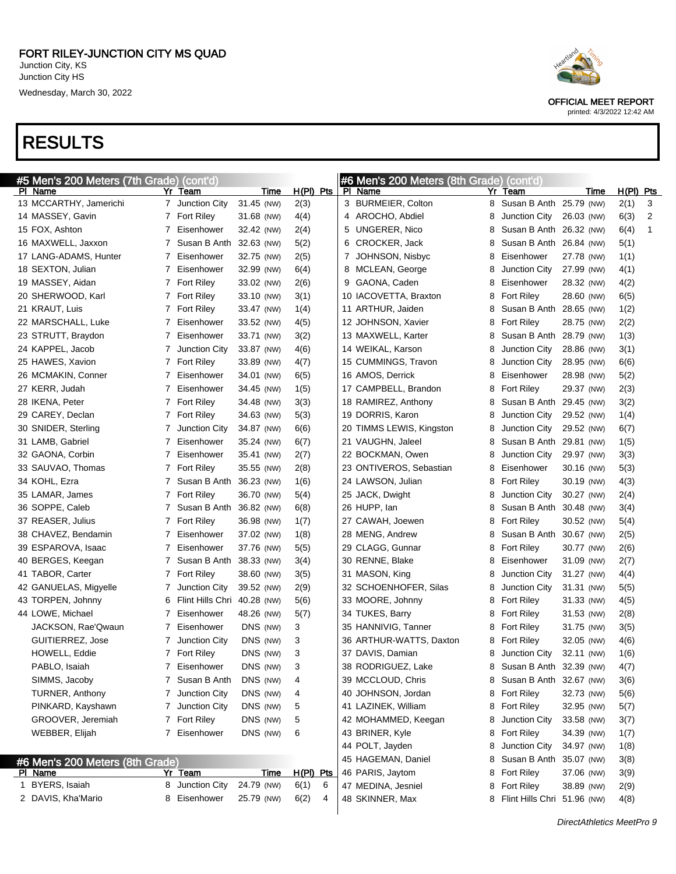| #5 Men's 200 Meters (7th Grade) (cont'd) |            |                             |             |             |   | #6 Men's 200 Meters (8th Grade) (cont'd) |   |                         |            |             |              |
|------------------------------------------|------------|-----------------------------|-------------|-------------|---|------------------------------------------|---|-------------------------|------------|-------------|--------------|
| PI Name                                  |            | Yr Team                     | Time        | $H(PI)$ Pts |   | PI Name                                  |   | Yr Team                 | Time       | $H(PI)$ Pts |              |
| 13 MCCARTHY, Jamerichi                   |            | 7 Junction City             | 31.45 (NW)  | 2(3)        |   | 3 BURMEIER, Colton                       | 8 | Susan B Anth 25.79 (NW) |            | 2(1)        | 3            |
| 14 MASSEY, Gavin                         |            | 7 Fort Riley                | 31.68 (NW)  | 4(4)        |   | 4 AROCHO, Abdiel                         | 8 | Junction City           | 26.03 (NW) | 6(3)        | 2            |
| 15 FOX, Ashton                           | 7          | Eisenhower                  | 32.42 (NW)  | 2(4)        |   | 5 UNGERER, Nico                          | 8 | Susan B Anth 26.32 (NW) |            | 6(4)        | $\mathbf{1}$ |
| 16 MAXWELL, Jaxxon                       | 7          | Susan B Anth                | 32.63 (NW)  | 5(2)        |   | 6 CROCKER, Jack                          | 8 | Susan B Anth 26.84 (NW) |            | 5(1)        |              |
| 17 LANG-ADAMS, Hunter                    | 7          | Eisenhower                  | 32.75 (NW)  | 2(5)        |   | 7 JOHNSON, Nisbyc                        | 8 | Eisenhower              | 27.78 (NW) | 1(1)        |              |
| 18 SEXTON, Julian                        | 7          | Eisenhower                  | 32.99 (NW)  | 6(4)        |   | 8 MCLEAN, George                         | 8 | Junction City           | 27.99 (NW) | 4(1)        |              |
| 19 MASSEY, Aidan                         |            | 7 Fort Riley                | 33.02 (NW)  | 2(6)        |   | 9 GAONA, Caden                           | 8 | Eisenhower              | 28.32 (NW) | 4(2)        |              |
| 20 SHERWOOD, Karl                        |            | 7 Fort Riley                | 33.10 (NW)  | 3(1)        |   | 10 IACOVETTA, Braxton                    | 8 | <b>Fort Riley</b>       | 28.60 (NW) | 6(5)        |              |
| 21 KRAUT, Luis                           |            | 7 Fort Riley                | 33.47 (NW)  | 1(4)        |   | 11 ARTHUR, Jaiden                        |   | Susan B Anth 28.65 (NW) |            | 1(2)        |              |
| 22 MARSCHALL, Luke                       | 7          | Eisenhower                  | 33.52 (NW)  | 4(5)        |   | 12 JOHNSON, Xavier                       | 8 | <b>Fort Riley</b>       | 28.75 (NW) | 2(2)        |              |
| 23 STRUTT, Braydon                       | 7          | Eisenhower                  | 33.71 (NW)  | 3(2)        |   | 13 MAXWELL, Karter                       | 8 | Susan B Anth 28.79 (NW) |            | 1(3)        |              |
| 24 KAPPEL, Jacob                         | $\epsilon$ | Junction City               | 33.87 (NW)  | 4(6)        |   | 14 WEIKAL, Karson                        |   | Junction City           | 28.86 (NW) | 3(1)        |              |
| 25 HAWES, Xavion                         |            | 7 Fort Riley                | 33.89 (NW)  | 4(7)        |   | 15 CUMMINGS, Travon                      | 8 | Junction City           | 28.95 (NW) | 6(6)        |              |
| 26 MCMAKIN, Conner                       | 7          | Eisenhower                  | 34.01 (NW)  | 6(5)        |   | 16 AMOS, Derrick                         | 8 | Eisenhower              | 28.98 (NW) | 5(2)        |              |
| 27 KERR, Judah                           | 7          | Eisenhower                  | 34.45 (NW)  | 1(5)        |   | 17 CAMPBELL, Brandon                     | 8 | <b>Fort Riley</b>       | 29.37 (NW) | 2(3)        |              |
| 28 IKENA, Peter                          |            | 7 Fort Riley                | 34.48 (NW)  | 3(3)        |   | 18 RAMIREZ, Anthony                      | 8 | Susan B Anth 29.45 (NW) |            | 3(2)        |              |
| 29 CAREY, Declan                         |            | 7 Fort Riley                | 34.63 (NW)  | 5(3)        |   | 19 DORRIS, Karon                         | 8 | Junction City           | 29.52 (NW) | 1(4)        |              |
| 30 SNIDER, Sterling                      | $\epsilon$ | Junction City               | 34.87 (NW)  | 6(6)        |   | 20 TIMMS LEWIS, Kingston                 | 8 | Junction City           | 29.52 (NW) | 6(7)        |              |
| 31 LAMB, Gabriel                         | 7          | Eisenhower                  | 35.24 (NW)  | 6(7)        |   | 21 VAUGHN, Jaleel                        | 8 | Susan B Anth 29.81 (NW) |            | 1(5)        |              |
| 32 GAONA, Corbin                         | 7          | Eisenhower                  | 35.41 (NW)  | 2(7)        |   | 22 BOCKMAN, Owen                         | 8 | Junction City           | 29.97 (NW) | 3(3)        |              |
| 33 SAUVAO, Thomas                        | 7          | <b>Fort Riley</b>           | 35.55 (NW)  | 2(8)        |   | 23 ONTIVEROS, Sebastian                  | 8 | Eisenhower              | 30.16 (NW) | 5(3)        |              |
| 34 KOHL, Ezra                            | 7          | Susan B Anth 36.23 (NW)     |             | 1(6)        |   | 24 LAWSON, Julian                        | 8 | <b>Fort Riley</b>       | 30.19 (NW) | 4(3)        |              |
| 35 LAMAR, James                          | 7          | <b>Fort Riley</b>           | 36.70 (NW)  | 5(4)        |   | 25 JACK, Dwight                          | 8 | Junction City           | 30.27 (NW) | 2(4)        |              |
| 36 SOPPE, Caleb                          | 7          | Susan B Anth 36.82 (NW)     |             | 6(8)        |   | 26 HUPP, lan                             |   | Susan B Anth 30.48 (NW) |            | 3(4)        |              |
| 37 REASER, Julius                        | 7          | <b>Fort Riley</b>           | 36.98 (NW)  | 1(7)        |   | 27 CAWAH, Joewen                         | 8 | <b>Fort Riley</b>       | 30.52 (NW) | 5(4)        |              |
| 38 CHAVEZ, Bendamin                      | 7          | Eisenhower                  | 37.02 (NW)  | 1(8)        |   | 28 MENG, Andrew                          |   | Susan B Anth 30.67 (NW) |            | 2(5)        |              |
| 39 ESPAROVA, Isaac                       | 7          | Eisenhower                  | 37.76 (NW)  | 5(5)        |   | 29 CLAGG, Gunnar                         | 8 | <b>Fort Riley</b>       | 30.77 (NW) | 2(6)        |              |
| 40 BERGES, Keegan                        | 7          | Susan B Anth                | 38.33 (NW)  | 3(4)        |   | 30 RENNE, Blake                          | 8 | Eisenhower              | 31.09 (NW) | 2(7)        |              |
| 41 TABOR, Carter                         |            | 7 Fort Riley                | 38.60 (NW)  | 3(5)        |   | 31 MASON, King                           |   | Junction City           | 31.27 (NW) | 4(4)        |              |
| 42 GANUELAS, Migyelle                    | 7          | Junction City               | 39.52 (NW)  | 2(9)        |   | 32 SCHOENHOFER, Silas                    |   | Junction City           | 31.31 (NW) | 5(5)        |              |
| 43 TORPEN, Johnny                        | 6          | Flint Hills Chri 40.28 (NW) |             | 5(6)        |   | 33 MOORE, Johnny                         | 8 | <b>Fort Riley</b>       | 31.33 (NW) | 4(5)        |              |
| 44 LOWE, Michael                         | 7          | Eisenhower                  | 48.26 (NW)  | 5(7)        |   | 34 TUKES, Barry                          | 8 | <b>Fort Riley</b>       | 31.53 (NW) | 2(8)        |              |
| JACKSON, Rae'Qwaun                       | 7          | Eisenhower                  | DNS (NW)    | 3           |   | 35 HANNIVIG, Tanner                      | 8 | <b>Fort Riley</b>       | 31.75 (NW) | 3(5)        |              |
| GUITIERREZ, Jose                         | $\sqrt{2}$ | Junction City               | DNS (NW)    | 3           |   | 36 ARTHUR-WATTS, Daxton                  |   | <b>Fort Riley</b>       | 32.05 (NW) | 4(6)        |              |
| <b>HOWELL, Eddie</b>                     |            | 7 Fort Riley                | DNS (NW)    | 3           |   | 37 DAVIS, Damian                         |   | Junction City           | 32.11 (NW) | 1(6)        |              |
| PABLO, Isaiah                            |            | 7 Eisenhower                | DNS (NW)    | 3           |   | 38 RODRIGUEZ, Lake                       | 8 | Susan B Anth 32.39 (NW) |            | 4(7)        |              |
| SIMMS, Jacoby                            |            | 7 Susan B Anth              | DNS (NW)    | 4           |   | 39 MCCLOUD, Chris                        | 8 | Susan B Anth 32.67 (NW) |            | 3(6)        |              |
| <b>TURNER, Anthony</b>                   | 7          | Junction City               | DNS (NW)    | 4           |   | 40 JOHNSON, Jordan                       | 8 | Fort Riley              | 32.73 (NW) | 5(6)        |              |
| PINKARD, Kayshawn                        | 7          | Junction City               | DNS (NW)    | 5           |   | 41 LAZINEK, William                      | 8 | <b>Fort Riley</b>       | 32.95 (NW) | 5(7)        |              |
| GROOVER, Jeremiah                        |            | 7 Fort Riley                | DNS (NW)    | 5           |   | 42 MOHAMMED, Keegan                      | 8 | Junction City           | 33.58 (NW) | 3(7)        |              |
| WEBBER, Elijah                           |            | 7 Eisenhower                | DNS (NW)    | 6           |   | 43 BRINER, Kyle                          | 8 | <b>Fort Riley</b>       | 34.39 (NW) | 1(7)        |              |
|                                          |            |                             |             |             |   | 44 POLT, Jayden                          | 8 | Junction City           | 34.97 (NW) | 1(8)        |              |
| #6 Men's 200 Meters (8th Grade)          |            |                             |             |             |   | 45 HAGEMAN, Daniel                       | 8 | Susan B Anth 35.07 (NW) |            | 3(8)        |              |
| PI Name                                  |            | Yr Team                     | <u>Time</u> | H(PI) Pts   |   | 46 PARIS, Jaytom                         | 8 | <b>Fort Riley</b>       | 37.06 (NW) | 3(9)        |              |
| 1 BYERS, Isaiah                          |            | 8 Junction City             | 24.79 (NW)  | 6(1)        | 6 | 47 MEDINA, Jesniel                       |   | 8 Fort Riley            | 38.89 (NW) | 2(9)        |              |





OFFICIAL MEET REPORT printed: 4/3/2022 12:42 AM

SKINNER, Max 8 Flint Hills Chri 51.96 (NW) 4(8)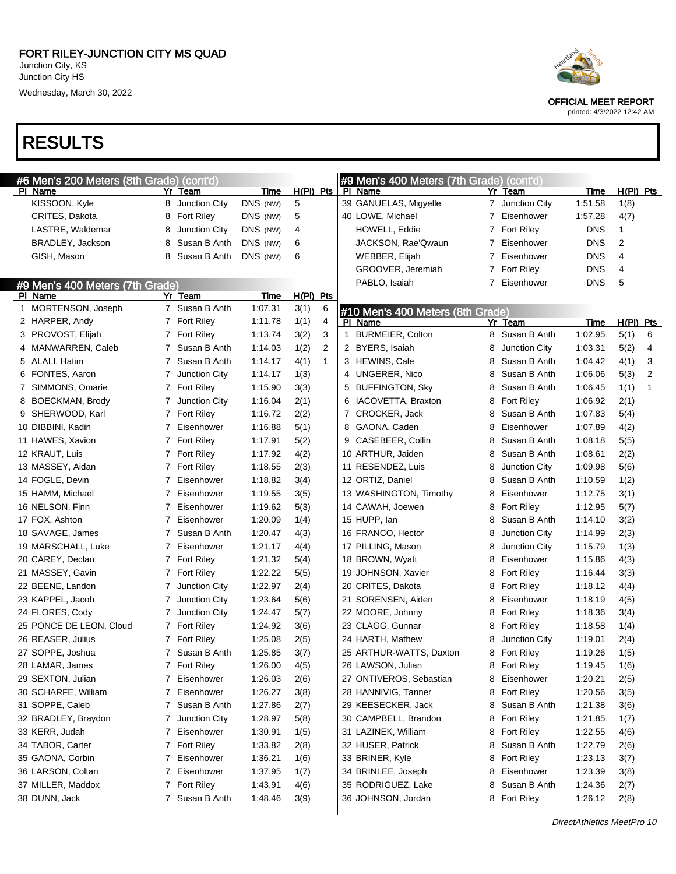# RESULTS

| #6 Men's 200 Meters (8th Grade) (cont'd) |              |                   |          |             | #9 Men's 400 Meters (7th Grade) (cont'd) |   |                                  |                |                   |            |             |              |
|------------------------------------------|--------------|-------------------|----------|-------------|------------------------------------------|---|----------------------------------|----------------|-------------------|------------|-------------|--------------|
| PI Name                                  | Yr           | Team              | Time     | $H(PI)$ Pts |                                          |   | PI Name                          | Yr             | Team              | Time       | $H(PI)$ Pts |              |
| KISSOON, Kyle                            | 8            | Junction City     | DNS (NW) | 5           |                                          |   | 39 GANUELAS, Migyelle            |                | 7 Junction City   | 1:51.58    | 1(8)        |              |
| CRITES, Dakota                           | 8            | <b>Fort Riley</b> | DNS (NW) | 5           |                                          |   | 40 LOWE, Michael                 |                | 7 Eisenhower      | 1:57.28    | 4(7)        |              |
| LASTRE, Waldemar                         | 8            | Junction City     | DNS (NW) | 4           |                                          |   | HOWELL, Eddie                    | $7^{\circ}$    | <b>Fort Riley</b> | <b>DNS</b> | 1           |              |
| BRADLEY, Jackson                         | 8            | Susan B Anth      | DNS (NW) | 6           |                                          |   | JACKSON, Rae'Qwaun               | 7              | Eisenhower        | <b>DNS</b> | 2           |              |
| GISH, Mason                              | 8            | Susan B Anth      | DNS (NW) | 6           |                                          |   | WEBBER, Elijah                   | 7              | Eisenhower        | <b>DNS</b> | 4           |              |
|                                          |              |                   |          |             |                                          |   | GROOVER, Jeremiah                | 7              | <b>Fort Riley</b> | <b>DNS</b> | 4           |              |
| #9 Men's 400 Meters (7th Grade)          |              |                   |          |             |                                          |   | PABLO, Isaiah                    | $\overline{7}$ | Eisenhower        | <b>DNS</b> | 5           |              |
| PI Name                                  |              | Yr Team           | Time     | $H(PI)$ Pts |                                          |   |                                  |                |                   |            |             |              |
| 1 MORTENSON, Joseph                      |              | 7 Susan B Anth    | 1:07.31  | 3(1)        | 6                                        |   | #10 Men's 400 Meters (8th Grade) |                |                   |            |             |              |
| 2 HARPER, Andy                           |              | 7 Fort Riley      | 1:11.78  | 1(1)        | 4                                        |   | PI Name                          |                | Yr Team           | Time       | H(PI) Pts   |              |
| 3 PROVOST, Elijah                        |              | 7 Fort Riley      | 1:13.74  | 3(2)        | 3                                        | 1 | <b>BURMEIER, Colton</b>          | 8              | Susan B Anth      | 1:02.95    | 5(1)        | 6            |
| 4 MANWARREN, Caleb                       | $\mathbf{7}$ | Susan B Anth      | 1:14.03  | 1(2)        | 2                                        |   | 2 BYERS, Isaiah                  | 8              | Junction City     | 1:03.31    | 5(2)        | 4            |
| 5 ALALI, Hatim                           | 7            | Susan B Anth      | 1:14.17  | 4(1)        | $\mathbf 1$                              |   | 3 HEWINS, Cale                   | 8              | Susan B Anth      | 1:04.42    | 4(1)        | 3            |
| 6 FONTES, Aaron                          | 7            | Junction City     | 1:14.17  | 1(3)        |                                          | 4 | UNGERER, Nico                    | 8              | Susan B Anth      | 1:06.06    | 5(3)        | 2            |
| 7 SIMMONS, Omarie                        |              | 7 Fort Riley      | 1:15.90  | 3(3)        |                                          | 5 | <b>BUFFINGTON, Sky</b>           | 8              | Susan B Anth      | 1:06.45    | 1(1)        | $\mathbf{1}$ |
| 8 BOECKMAN, Brody                        | 7            | Junction City     | 1:16.04  | 2(1)        |                                          | 6 | IACOVETTA, Braxton               | 8              | Fort Riley        | 1:06.92    | 2(1)        |              |
| 9 SHERWOOD, Karl                         |              | 7 Fort Riley      | 1:16.72  | 2(2)        |                                          |   | 7 CROCKER, Jack                  | 8              | Susan B Anth      | 1:07.83    | 5(4)        |              |
| 10 DIBBINI, Kadin                        | 7            | Eisenhower        | 1:16.88  | 5(1)        |                                          |   | 8 GAONA, Caden                   | 8              | Eisenhower        | 1:07.89    | 4(2)        |              |
| 11 HAWES, Xavion                         |              | 7 Fort Riley      | 1:17.91  | 5(2)        |                                          | 9 | CASEBEER, Collin                 | 8              | Susan B Anth      | 1:08.18    | 5(5)        |              |
| 12 KRAUT, Luis                           |              | 7 Fort Riley      | 1:17.92  | 4(2)        |                                          |   | 10 ARTHUR, Jaiden                | 8              | Susan B Anth      | 1:08.61    | 2(2)        |              |
| 13 MASSEY, Aidan                         |              | 7 Fort Riley      | 1:18.55  | 2(3)        |                                          |   | 11 RESENDEZ, Luis                | 8              | Junction City     | 1:09.98    | 5(6)        |              |
| 14 FOGLE, Devin                          | 7            |                   |          |             |                                          |   | 12 ORTIZ, Daniel                 | 8              | Susan B Anth      |            |             |              |
|                                          |              | Eisenhower        | 1:18.82  | 3(4)        |                                          |   |                                  |                |                   | 1:10.59    | 1(2)        |              |
| 15 HAMM, Michael                         | 7            | Eisenhower        | 1:19.55  | 3(5)        |                                          |   | 13 WASHINGTON, Timothy           | 8              | Eisenhower        | 1:12.75    | 3(1)        |              |
| 16 NELSON, Finn                          | 7            | Eisenhower        | 1:19.62  | 5(3)        |                                          |   | 14 CAWAH, Joewen                 | 8              | <b>Fort Riley</b> | 1:12.95    | 5(7)        |              |
| 17 FOX, Ashton                           | 7            | Eisenhower        | 1:20.09  | 1(4)        |                                          |   | 15 HUPP, lan                     | 8              | Susan B Anth      | 1:14.10    | 3(2)        |              |
| 18 SAVAGE, James                         | 7            | Susan B Anth      | 1:20.47  | 4(3)        |                                          |   | 16 FRANCO, Hector                | 8              | Junction City     | 1:14.99    | 2(3)        |              |
| 19 MARSCHALL, Luke                       | 7            | Eisenhower        | 1:21.17  | 4(4)        |                                          |   | 17 PILLING, Mason                | 8              | Junction City     | 1:15.79    | 1(3)        |              |
| 20 CAREY, Declan                         |              | 7 Fort Riley      | 1:21.32  | 5(4)        |                                          |   | 18 BROWN, Wyatt                  | 8              | Eisenhower        | 1:15.86    | 4(3)        |              |
| 21 MASSEY, Gavin                         |              | 7 Fort Riley      | 1:22.22  | 5(5)        |                                          |   | 19 JOHNSON, Xavier               | 8              | <b>Fort Riley</b> | 1:16.44    | 3(3)        |              |
| 22 BEENE, Landon                         | 7            | Junction City     | 1:22.97  | 2(4)        |                                          |   | 20 CRITES, Dakota                | 8              | <b>Fort Riley</b> | 1:18.12    | 4(4)        |              |
| 23 KAPPEL, Jacob                         | 7            | Junction City     | 1:23.64  | 5(6)        |                                          |   | 21 SORENSEN, Aiden               | 8              | Eisenhower        | 1:18.19    | 4(5)        |              |
| 24 FLORES, Cody                          | 7            | Junction City     | 1:24.47  | 5(7)        |                                          |   | 22 MOORE, Johnny                 | 8              | Fort Riley        | 1:18.36    | 3(4)        |              |
| 25 PONCE DE LEON, Cloud                  |              | 7 Fort Riley      | 1:24.92  | 3(6)        |                                          |   | 23 CLAGG, Gunnar                 | 8              | Fort Riley        | 1:18.58    | 1(4)        |              |
| 26 REASER, Julius                        |              | 7 Fort Riley      | 1:25.08  | 2(5)        |                                          |   | 24 HARTH, Mathew                 | 8              | Junction City     | 1:19.01    | 2(4)        |              |
| 27 SOPPE, Joshua                         |              | 7 Susan B Anth    | 1:25.85  | 3(7)        |                                          |   | 25 ARTHUR-WATTS, Daxton          |                | 8 Fort Riley      | 1:19.26    | 1(5)        |              |
| 28 LAMAR, James                          |              | 7 Fort Riley      | 1:26.00  | 4(5)        |                                          |   | 26 LAWSON, Julian                |                | 8 Fort Riley      | 1:19.45    | 1(6)        |              |
| 29 SEXTON, Julian                        |              | 7 Eisenhower      | 1:26.03  | 2(6)        |                                          |   | 27 ONTIVEROS, Sebastian          | 8              | Eisenhower        | 1:20.21    | 2(5)        |              |
| 30 SCHARFE, William                      |              | 7 Eisenhower      | 1:26.27  | 3(8)        |                                          |   | 28 HANNIVIG, Tanner              | 8              | <b>Fort Riley</b> | 1:20.56    | 3(5)        |              |
| 31 SOPPE, Caleb                          |              | 7 Susan B Anth    | 1:27.86  | 2(7)        |                                          |   | 29 KEESECKER, Jack               | 8              | Susan B Anth      | 1:21.38    | 3(6)        |              |
| 32 BRADLEY, Braydon                      |              | 7 Junction City   | 1:28.97  | 5(8)        |                                          |   | 30 CAMPBELL, Brandon             | 8              | <b>Fort Riley</b> | 1:21.85    | 1(7)        |              |
| 33 KERR, Judah                           |              | 7 Eisenhower      | 1:30.91  | 1(5)        |                                          |   | 31 LAZINEK, William              | 8              | <b>Fort Riley</b> | 1:22.55    | 4(6)        |              |
| 34 TABOR, Carter                         |              | 7 Fort Riley      | 1:33.82  | 2(8)        |                                          |   | 32 HUSER, Patrick                | 8              | Susan B Anth      | 1:22.79    | 2(6)        |              |
| 35 GAONA, Corbin                         |              | 7 Eisenhower      | 1:36.21  | 1(6)        |                                          |   | 33 BRINER, Kyle                  | 8              | <b>Fort Riley</b> | 1:23.13    | 3(7)        |              |
| 36 LARSON, Coltan                        |              | 7 Eisenhower      | 1:37.95  | 1(7)        |                                          |   | 34 BRINLEE, Joseph               | 8              | Eisenhower        | 1:23.39    | 3(8)        |              |
| 37 MILLER, Maddox                        |              | 7 Fort Riley      | 1:43.91  | 4(6)        |                                          |   | 35 RODRIGUEZ, Lake               | 8              | Susan B Anth      | 1:24.36    | 2(7)        |              |
| 38 DUNN, Jack                            |              | 7 Susan B Anth    | 1:48.46  | 3(9)        |                                          |   | 36 JOHNSON, Jordan               |                | 8 Fort Riley      | 1:26.12    | 2(8)        |              |
|                                          |              |                   |          |             |                                          |   |                                  |                |                   |            |             |              |



OFFICIAL MEET REPORT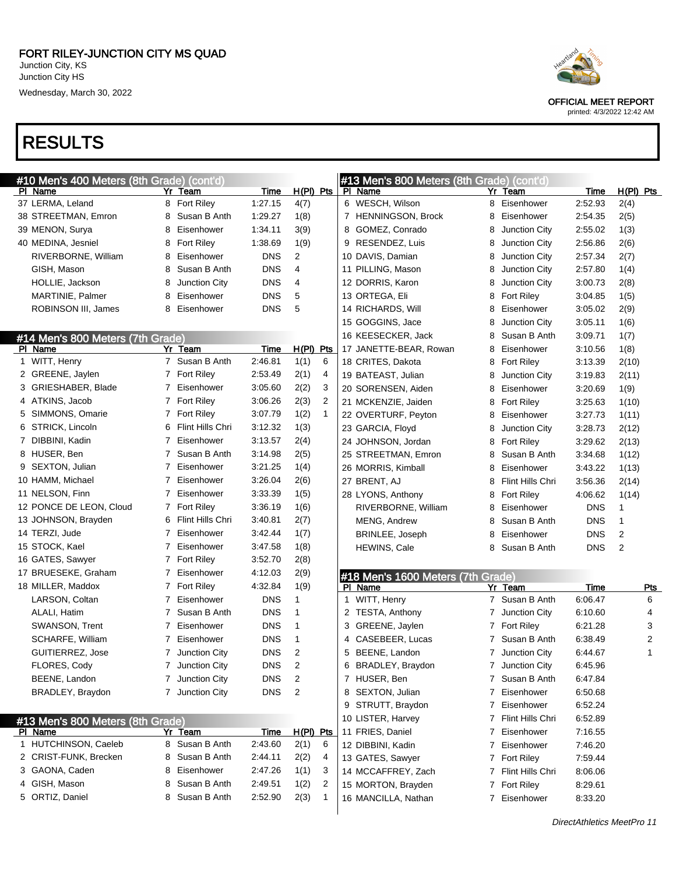## RESULTS

| #10 Men's 400 Meters (8th Grade) (cont'd) |                |                      |             |                         |              |   | #13 Men's 800 Meters (8th Grade) (cont'd) |   |                    |             |                |
|-------------------------------------------|----------------|----------------------|-------------|-------------------------|--------------|---|-------------------------------------------|---|--------------------|-------------|----------------|
| PI Name                                   |                | Yr Team              | <b>Time</b> | $H(PI)$ Pts             |              |   | PI Name                                   |   | Yr Team            | <b>Time</b> | $H(PI)$ Pts    |
| 37 LERMA, Leland                          | 8              | <b>Fort Riley</b>    | 1:27.15     | 4(7)                    |              |   | 6 WESCH, Wilson                           |   | 8 Eisenhower       | 2:52.93     | 2(4)           |
| 38 STREETMAN, Emron                       | 8              | Susan B Anth         | 1:29.27     | 1(8)                    |              |   | 7 HENNINGSON, Brock                       | 8 | Eisenhower         | 2:54.35     | 2(5)           |
| 39 MENON, Surya                           | 8              | Eisenhower           | 1:34.11     | 3(9)                    |              |   | 8 GOMEZ, Conrado                          | 8 | Junction City      | 2:55.02     | 1(3)           |
| 40 MEDINA, Jesniel                        | 8              | Fort Riley           | 1:38.69     | 1(9)                    |              |   | 9 RESENDEZ, Luis                          | 8 | Junction City      | 2:56.86     | 2(6)           |
| RIVERBORNE, William                       | 8              | Eisenhower           | <b>DNS</b>  | 2                       |              |   | 10 DAVIS, Damian                          | 8 | Junction City      | 2:57.34     | 2(7)           |
| GISH, Mason                               | 8              | Susan B Anth         | <b>DNS</b>  | 4                       |              |   | 11 PILLING, Mason                         | 8 | Junction City      | 2:57.80     | 1(4)           |
| HOLLIE, Jackson                           | 8              | Junction City        | <b>DNS</b>  | 4                       |              |   | 12 DORRIS, Karon                          | 8 | Junction City      | 3:00.73     | 2(8)           |
| MARTINIE, Palmer                          | 8              | Eisenhower           | <b>DNS</b>  | 5                       |              |   | 13 ORTEGA, Eli                            | 8 | <b>Fort Riley</b>  | 3:04.85     | 1(5)           |
| ROBINSON III, James                       | 8              | Eisenhower           | <b>DNS</b>  | 5                       |              |   | 14 RICHARDS, Will                         | 8 | Eisenhower         | 3:05.02     | 2(9)           |
|                                           |                |                      |             |                         |              |   | 15 GOGGINS, Jace                          | 8 | Junction City      | 3:05.11     | 1(6)           |
| #14 Men's 800 Meters (7th Grade)          |                |                      |             |                         |              |   | 16 KEESECKER, Jack                        | 8 | Susan B Anth       | 3:09.71     | 1(7)           |
| PI Name                                   |                | Yr Team              | <b>Time</b> | $H(PI)$ Pts             |              |   | 17 JANETTE-BEAR, Rowan                    | 8 | Eisenhower         | 3:10.56     | 1(8)           |
| 1 WITT, Henry                             |                | 7 Susan B Anth       | 2:46.81     | 1(1)                    | 6            |   | 18 CRITES, Dakota                         | 8 | <b>Fort Riley</b>  | 3:13.39     | 2(10)          |
| 2 GREENE, Jaylen                          |                | 7 Fort Riley         | 2:53.49     | 2(1)                    | 4            |   | 19 BATEAST, Julian                        | 8 | Junction City      | 3:19.83     | 2(11)          |
| 3 GRIESHABER, Blade                       | $\overline{7}$ | Eisenhower           | 3:05.60     | 2(2)                    | 3            |   | 20 SORENSEN, Aiden                        | 8 | Eisenhower         | 3:20.69     | 1(9)           |
| 4 ATKINS, Jacob                           |                | 7 Fort Riley         | 3:06.26     | 2(3)                    | 2            |   | 21 MCKENZIE, Jaiden                       | 8 | <b>Fort Riley</b>  | 3:25.63     | 1(10)          |
| 5 SIMMONS, Omarie                         |                | 7 Fort Riley         | 3:07.79     | 1(2)                    | $\mathbf{1}$ |   | 22 OVERTURF, Peyton                       | 8 | Eisenhower         | 3:27.73     | 1(11)          |
| 6 STRICK, Lincoln                         | 6              | Flint Hills Chri     | 3:12.32     | 1(3)                    |              |   | 23 GARCIA, Floyd                          | 8 | Junction City      | 3:28.73     | 2(12)          |
| 7 DIBBINI, Kadin                          | 7              | Eisenhower           | 3:13.57     | 2(4)                    |              |   | 24 JOHNSON, Jordan                        | 8 | <b>Fort Riley</b>  | 3:29.62     | 2(13)          |
| 8 HUSER, Ben                              | $\overline{7}$ | Susan B Anth         | 3:14.98     | 2(5)                    |              |   | 25 STREETMAN, Emron                       | 8 | Susan B Anth       | 3:34.68     | 1(12)          |
| 9 SEXTON, Julian                          | 7              | Eisenhower           | 3:21.25     | 1(4)                    |              |   | 26 MORRIS, Kimball                        | 8 | Eisenhower         | 3:43.22     | 1(13)          |
| 10 HAMM, Michael                          | $\overline{7}$ | Eisenhower           | 3:26.04     | 2(6)                    |              |   | 27 BRENT, AJ                              | 8 | Flint Hills Chri   | 3:56.36     | 2(14)          |
| 11 NELSON, Finn                           | $\overline{7}$ | Eisenhower           | 3:33.39     | 1(5)                    |              |   | 28 LYONS, Anthony                         | 8 | <b>Fort Riley</b>  | 4:06.62     | 1(14)          |
| 12 PONCE DE LEON, Cloud                   |                | 7 Fort Riley         | 3:36.19     | 1(6)                    |              |   | RIVERBORNE, William                       | 8 | Eisenhower         | <b>DNS</b>  | 1              |
| 13 JOHNSON, Brayden                       | 6              | Flint Hills Chri     | 3:40.81     | 2(7)                    |              |   | MENG, Andrew                              | 8 | Susan B Anth       | <b>DNS</b>  | 1              |
| 14 TERZI, Jude                            | 7              | Eisenhower           | 3:42.44     | 1(7)                    |              |   | BRINLEE, Joseph                           | 8 | Eisenhower         | <b>DNS</b>  | $\overline{2}$ |
| 15 STOCK, Kael                            | $\overline{7}$ | Eisenhower           | 3:47.58     | 1(8)                    |              |   | HEWINS, Cale                              | 8 | Susan B Anth       | <b>DNS</b>  | $\overline{2}$ |
| 16 GATES, Sawyer                          |                | 7 Fort Riley         | 3:52.70     | 2(8)                    |              |   |                                           |   |                    |             |                |
| 17 BRUESEKE, Graham                       | $\overline{7}$ | Eisenhower           | 4:12.03     | 2(9)                    |              |   | #18 Men's 1600 Meters (7th Grade)         |   |                    |             |                |
| 18 MILLER, Maddox                         |                | 7 Fort Riley         | 4:32.84     | 1(9)                    |              |   | PI Name                                   |   | Yr Team            | <b>Time</b> | <b>Pts</b>     |
| LARSON, Coltan                            | 7              | Eisenhower           | <b>DNS</b>  | 1                       |              |   | 1 WITT, Henry                             |   | 7 Susan B Anth     | 6:06.47     | 6              |
| ALALI, Hatim                              | $\overline{7}$ | Susan B Anth         | DNS         | 1                       |              |   | 2 TESTA, Anthony                          | 7 | Junction City      | 6:10.60     | 4              |
| SWANSON, Trent                            | 7              | Eisenhower           | <b>DNS</b>  | 1                       |              |   | 3 GREENE, Jaylen                          | 7 | <b>Fort Riley</b>  | 6:21.28     | 3              |
| SCHARFE, William                          | 7              | Eisenhower           | <b>DNS</b>  | 1                       |              |   | 4 CASEBEER, Lucas                         | 7 | Susan B Anth       | 6:38.49     | 2              |
| GUITIERREZ, Jose                          |                | <b>Junction City</b> | <b>DNS</b>  | 2                       |              | 5 | BEENE, Landon                             | 7 | Junction City      | 6:44.67     | 1              |
| FLORES, Cody                              |                | 7 Junction City      | <b>DNS</b>  | 2                       |              | 6 | BRADLEY, Braydon                          |   | 7 Junction City    | 6:45.96     |                |
| BEENE, Landon                             |                | 7 Junction City      | <b>DNS</b>  | $\overline{\mathbf{c}}$ |              |   | 7 HUSER, Ben                              |   | 7 Susan B Anth     | 6:47.84     |                |
| BRADLEY, Braydon                          |                | 7 Junction City      | DNS         | $\overline{2}$          |              |   | 8 SEXTON, Julian                          |   | 7 Eisenhower       | 6:50.68     |                |
|                                           |                |                      |             |                         |              |   | 9 STRUTT, Braydon                         |   | 7 Eisenhower       | 6:52.24     |                |
| #13 Men's 800 Meters (8th Grade)          |                |                      |             |                         |              |   | 10 LISTER, Harvey                         |   | 7 Flint Hills Chri | 6:52.89     |                |
| PI Name                                   |                | Yr Team              | Time        | $H(PI)$ Pts             |              |   | 11 FRIES, Daniel                          |   | 7 Eisenhower       | 7:16.55     |                |
| 1 HUTCHINSON, Caeleb                      | 8              | Susan B Anth         | 2:43.60     | 2(1)                    | 6            |   | 12 DIBBINI, Kadin                         |   | 7 Eisenhower       | 7:46.20     |                |
| 2 CRIST-FUNK, Brecken                     | 8              | Susan B Anth         | 2:44.11     | 2(2)                    | 4            |   | 13 GATES, Sawyer                          |   | 7 Fort Riley       | 7:59.44     |                |
| 3 GAONA, Caden                            | 8              | Eisenhower           | 2:47.26     | 1(1)                    | 3            |   | 14 MCCAFFREY, Zach                        |   | 7 Flint Hills Chri | 8:06.06     |                |
| 4 GISH, Mason                             | 8              | Susan B Anth         | 2:49.51     | 1(2)                    | 2            |   | 15 MORTON, Brayden                        |   | 7 Fort Riley       | 8:29.61     |                |
| 5 ORTIZ, Daniel                           | 8              | Susan B Anth         | 2:52.90     | 2(3)                    | $\mathbf{1}$ |   | 16 MANCILLA, Nathan                       |   | 7 Eisenhower       | 8:33.20     |                |
|                                           |                |                      |             |                         |              |   |                                           |   |                    |             |                |
|                                           |                |                      |             |                         |              |   |                                           |   |                    |             |                |

 $\blacksquare$ 



OFFICIAL MEET REPORT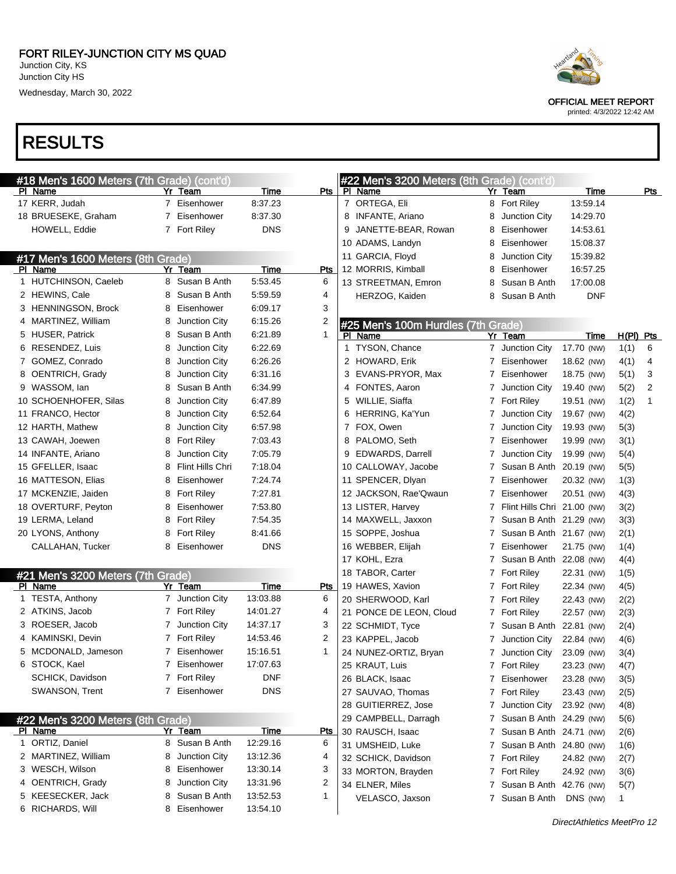# RESULTS

| #18 Men's 1600 Meters (7th Grade) (cont'd) |    |                      |            |                |     | #22 Men's 3200 Meters (8th Grade) (cont'd) |                |                             |            |             |                |
|--------------------------------------------|----|----------------------|------------|----------------|-----|--------------------------------------------|----------------|-----------------------------|------------|-------------|----------------|
| PI Name                                    |    | Yr Team              | Time       | Pts            |     | PI Name                                    |                | Yr Team                     | Time       |             | Pts            |
| 17 KERR, Judah                             |    | 7 Eisenhower         | 8:37.23    |                |     | 7 ORTEGA, Eli                              |                | 8 Fort Riley                | 13:59.14   |             |                |
| 18 BRUESEKE, Graham                        | 7  | Eisenhower           | 8:37.30    |                |     | 8 INFANTE, Ariano                          | 8              | Junction City               | 14:29.70   |             |                |
| <b>HOWELL, Eddie</b>                       |    | 7 Fort Riley         | <b>DNS</b> |                | 9   | JANETTE-BEAR, Rowan                        | 8              | Eisenhower                  | 14:53.61   |             |                |
|                                            |    |                      |            |                |     | 10 ADAMS, Landyn                           | 8              | Eisenhower                  | 15:08.37   |             |                |
| #17 Men's 1600 Meters (8th Grade)          |    |                      |            |                |     | 11 GARCIA, Floyd                           | 8              | <b>Junction City</b>        | 15:39.82   |             |                |
| PI Name                                    |    | Yr Team              | Time       | Pts            |     | 12 MORRIS, Kimball                         | 8              | Eisenhower                  | 16:57.25   |             |                |
| 1 HUTCHINSON, Caeleb                       |    | 8 Susan B Anth       | 5:53.45    | 6              |     | 13 STREETMAN, Emron                        | 8              | Susan B Anth                | 17:00.08   |             |                |
| 2 HEWINS, Cale                             | 8  | Susan B Anth         | 5:59.59    | 4              |     | HERZOG, Kaiden                             | 8              | Susan B Anth                | <b>DNF</b> |             |                |
| 3 HENNINGSON, Brock                        | 8  | Eisenhower           | 6:09.17    | 3              |     |                                            |                |                             |            |             |                |
| 4 MARTINEZ, William                        | 8  | <b>Junction City</b> | 6:15.26    | $\overline{2}$ |     | #25 Men's 100m Hurdles (7th Grade)         |                |                             |            |             |                |
| 5 HUSER, Patrick                           | 8  | Susan B Anth         | 6:21.89    | 1              | PI. | Name                                       |                | Yr Team                     | Time       | $H(PI)$ Pts |                |
| 6 RESENDEZ, Luis                           | 8  | <b>Junction City</b> | 6:22.69    |                |     | 1 TYSON, Chance                            |                | 7 Junction City             | 17.70 (NW) | 1(1)        | 6              |
| 7 GOMEZ, Conrado                           | 8  | <b>Junction City</b> | 6:26.26    |                |     | 2 HOWARD, Erik                             | 7              | Eisenhower                  | 18.62 (NW) | 4(1)        | 4              |
| 8 OENTRICH, Grady                          | 8  | <b>Junction City</b> | 6:31.16    |                |     | 3 EVANS-PRYOR, Max                         | 7              | Eisenhower                  | 18.75 (NW) | 5(1)        | 3              |
| 9 WASSOM, lan                              | 8  | Susan B Anth         | 6:34.99    |                |     | 4 FONTES, Aaron                            | 7              | Junction City               | 19.40 (NW) | 5(2)        | $\overline{2}$ |
| 10 SCHOENHOFER, Silas                      | 8  | <b>Junction City</b> | 6:47.89    |                |     | 5 WILLIE, Siaffa                           |                | 7 Fort Riley                | 19.51 (NW) | 1(2)        | $\mathbf{1}$   |
| 11 FRANCO, Hector                          | 8  | Junction City        | 6:52.64    |                |     | 6 HERRING, Ka'Yun                          | 7              | Junction City               | 19.67 (NW) | 4(2)        |                |
| 12 HARTH, Mathew                           | 8  | <b>Junction City</b> | 6:57.98    |                |     | 7 FOX, Owen                                | 7              | Junction City               | 19.93 (NW) | 5(3)        |                |
| 13 CAWAH, Joewen                           | 8  | <b>Fort Riley</b>    | 7:03.43    |                |     | 8 PALOMO, Seth                             | 7              | Eisenhower                  | 19.99 (NW) | 3(1)        |                |
| 14 INFANTE, Ariano                         | 8  | <b>Junction City</b> | 7:05.79    |                |     | 9 EDWARDS, Darrell                         | 7              | Junction City               | 19.99 (NW) | 5(4)        |                |
| 15 GFELLER, Isaac                          | 8  | Flint Hills Chri     | 7:18.04    |                |     | 10 CALLOWAY, Jacobe                        | 7              | Susan B Anth 20.19 (NW)     |            | 5(5)        |                |
| 16 MATTESON, Elias                         | 8  | Eisenhower           | 7.24.74    |                |     | 11 SPENCER, Dlyan                          | 7              | Eisenhower                  | 20.32 (NW) | 1(3)        |                |
| 17 MCKENZIE, Jaiden                        | 8  | <b>Fort Riley</b>    | 7:27.81    |                |     | 12 JACKSON, Rae'Qwaun                      | 7              | Eisenhower                  | 20.51 (NW) | 4(3)        |                |
| 18 OVERTURF, Peyton                        | 8  | Eisenhower           | 7:53.80    |                |     | 13 LISTER, Harvey                          | 7              | Flint Hills Chri 21.00 (NW) |            | 3(2)        |                |
| 19 LERMA, Leland                           | 8  | <b>Fort Riley</b>    | 7.54.35    |                |     | 14 MAXWELL, Jaxxon                         | 7              | Susan B Anth 21.29 (NW)     |            | 3(3)        |                |
| 20 LYONS, Anthony                          | 8  | <b>Fort Riley</b>    | 8.41.66    |                |     | 15 SOPPE, Joshua                           | 7              | Susan B Anth 21.67 (NW)     |            | 2(1)        |                |
| CALLAHAN, Tucker                           | 8  | Eisenhower           | <b>DNS</b> |                |     | 16 WEBBER, Elijah                          | 7              | Eisenhower                  | 21.75 (NW) | 1(4)        |                |
|                                            |    |                      |            |                |     | 17 KOHL, Ezra                              | 7              | Susan B Anth 22.08 (NW)     |            | 4(4)        |                |
| #21 Men's 3200 Meters (7th Grade)          |    |                      |            |                |     | 18 TABOR, Carter                           | 7              | <b>Fort Riley</b>           | 22.31 (NW) | 1(5)        |                |
| PI Name                                    |    | Yr Team              | Time       | Pts            |     | 19 HAWES, Xavion                           | $7\phantom{.}$ | <b>Fort Riley</b>           | 22.34 (NW) | 4(5)        |                |
| 1 TESTA, Anthony                           |    | 7 Junction City      | 13:03.88   | 6              |     | 20 SHERWOOD, Karl                          |                | 7 Fort Riley                | 22.43 (NW) | 2(2)        |                |
| 2 ATKINS, Jacob                            |    | 7 Fort Riley         | 14:01.27   | 4              |     | 21 PONCE DE LEON, Cloud                    | 7              | <b>Fort Riley</b>           | 22.57 (NW) | 2(3)        |                |
| 3 ROESER, Jacob                            | 7. | Junction City        | 14:37.17   | 3              |     | 22 SCHMIDT, Tyce                           | 7              | Susan B Anth 22.81 (NW)     |            | 2(4)        |                |
| 4 KAMINSKI, Devin                          |    | 7 Fort Riley         | 14:53.46   | $\overline{2}$ |     | 23 KAPPEL, Jacob                           | 7              | Junction City               | 22.84 (NW) | 4(6)        |                |
| 5 MCDONALD, Jameson                        |    | 7 Eisenhower         | 15:16.51   | 1              |     | 24 NUNEZ-ORTIZ, Bryan                      |                | 7 Junction City             | 23.09 (NW) | 3(4)        |                |
| 6 STOCK, Kael                              |    | 7 Eisenhower         | 17:07.63   |                |     | 25 KRAUT, Luis                             |                | 7 Fort Riley                | 23.23 (NW) | 4(7)        |                |
| SCHICK, Davidson                           |    | 7 Fort Riley         | DNF        |                |     | 26 BLACK, Isaac                            |                | 7 Eisenhower                | 23.28 (NW) | 3(5)        |                |
| SWANSON, Trent                             |    | 7 Eisenhower         | <b>DNS</b> |                |     | 27 SAUVAO, Thomas                          |                | 7 Fort Riley                | 23.43 (NW) | 2(5)        |                |
|                                            |    |                      |            |                |     | 28 GUITIERREZ, Jose                        | 7              | Junction City               | 23.92 (NW) | 4(8)        |                |
| #22 Men's 3200 Meters (8th Grade)          |    |                      |            |                |     | 29 CAMPBELL, Darragh                       |                | 7 Susan B Anth 24.29 (NW)   |            | 5(6)        |                |
| <b>PI Name</b>                             |    | Yr Team              | Time       | <u>Pts</u>     |     | 30 RAUSCH, Isaac                           |                | 7 Susan B Anth 24.71 (NW)   |            | 2(6)        |                |
| 1 ORTIZ, Daniel                            | 8  | Susan B Anth         | 12:29.16   | 6              |     | 31 UMSHEID, Luke                           |                | 7 Susan B Anth 24.80 (NW)   |            | 1(6)        |                |
| 2 MARTINEZ, William                        | 8  | Junction City        | 13:12.36   | 4              |     | 32 SCHICK, Davidson                        |                | 7 Fort Riley                | 24.82 (NW) | 2(7)        |                |
| 3 WESCH, Wilson                            | 8  | Eisenhower           | 13:30.14   | 3              |     | 33 MORTON, Brayden                         |                | 7 Fort Riley                | 24.92 (NW) | 3(6)        |                |
| 4 OENTRICH, Grady                          | 8  | Junction City        | 13:31.96   | 2              |     | 34 ELNER, Miles                            |                | 7 Susan B Anth 42.76 (NW)   |            | 5(7)        |                |
| 5 KEESECKER, Jack                          | 8  | Susan B Anth         | 13:52.53   | 1              |     | VELASCO, Jaxson                            |                | 7 Susan B Anth              | DNS (NW)   | 1           |                |
| 6 RICHARDS, Will                           | 8  | Eisenhower           | 13:54.10   |                |     |                                            |                |                             |            |             |                |



OFFICIAL MEET REPORT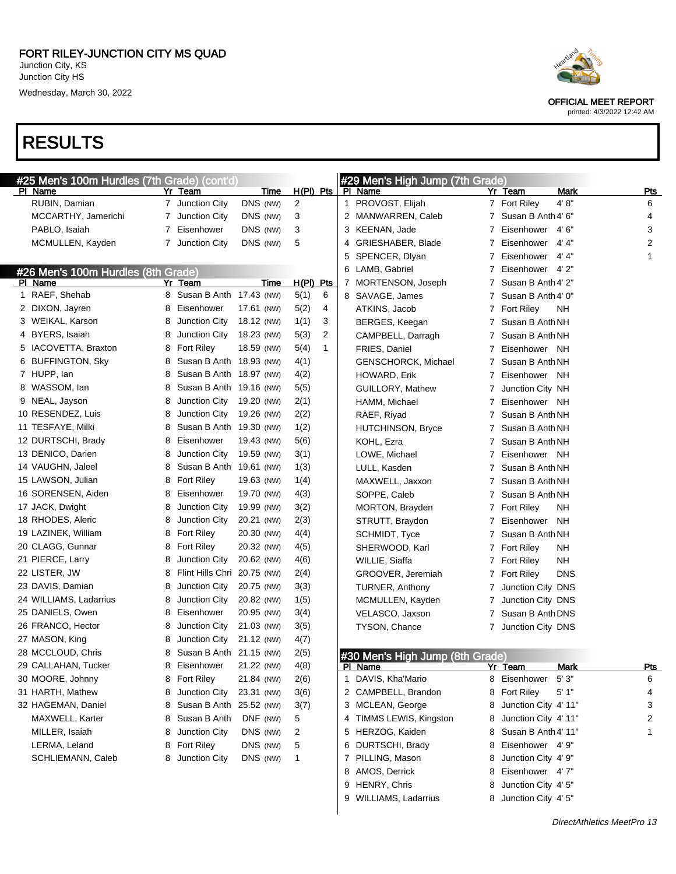#### RESULTS

| #25 Men's 100m Hurdles (7th Grade) (cont'd) |                                  |            |             |   | #29 Men's High Jump (7th Grade) |   |                                |              |
|---------------------------------------------|----------------------------------|------------|-------------|---|---------------------------------|---|--------------------------------|--------------|
| PI Name                                     | Yr Team                          | Time       | $H(PI)$ Pts |   | PI Name                         |   | Yr Team<br>Mark                | <b>Pts</b>   |
| RUBIN, Damian                               | 7 Junction City                  | DNS (NW)   | 2           |   | 1 PROVOST, Elijah               |   | 4'8"<br>7 Fort Riley           | 6            |
| MCCARTHY, Jamerichi                         | Junction City<br>7               | DNS (NW)   | 3           |   | 2 MANWARREN, Caleb              | 7 | Susan B Anth 4' 6"             | 4            |
| PABLO, Isaiah                               | Eisenhower<br>7                  | DNS (NW)   | 3           |   | 3 KEENAN, Jade                  | 7 | Eisenhower<br>4' 6"            | 3            |
| MCMULLEN, Kayden                            | 7<br>Junction City               | DNS (NW)   | 5           | 4 | GRIESHABER, Blade               | 7 | 4' 4"<br>Eisenhower            | 2            |
|                                             |                                  |            |             | 5 | SPENCER, Dlyan                  | 7 | 4' 4"<br>Eisenhower            | $\mathbf{1}$ |
| #26 Men's 100m Hurdles (8th Grade)          |                                  |            |             |   | 6 LAMB, Gabriel                 | 7 | Eisenhower 4'2"                |              |
| PI Name                                     | Yr Team                          | Time       | H(PI) Pts   |   | 7 MORTENSON, Joseph             | 7 | Susan B Anth 4' 2"             |              |
| 1 RAEF, Shehab                              | 8 Susan B Anth 17.43 (NW)        |            | 5(1)<br>6   |   | 8 SAVAGE, James                 | 7 | Susan B Anth 4' 0"             |              |
| 2 DIXON, Jayren                             | Eisenhower<br>8                  | 17.61 (NW) | 5(2)<br>4   |   | ATKINS, Jacob                   | 7 | <b>Fort Riley</b><br>NΗ        |              |
| 3 WEIKAL, Karson                            | Junction City<br>8               | 18.12 (NW) | 1(1)<br>3   |   | BERGES, Keegan                  | 7 | Susan B Anth NH                |              |
| 4 BYERS, Isaiah                             | Junction City<br>8               | 18.23 (NW) | 2<br>5(3)   |   | CAMPBELL, Darragh               | 7 | Susan B Anth NH                |              |
| 5 IACOVETTA, Braxton                        | <b>Fort Riley</b><br>8           | 18.59 (NW) | 5(4)<br>1   |   | FRIES, Daniel                   | 7 | Eisenhower NH                  |              |
| 6 BUFFINGTON, Sky                           | Susan B Anth 18.93 (NW)<br>8     |            | 4(1)        |   | GENSCHORCK, Michael             | 7 | Susan B Anth NH                |              |
| 7 HUPP, lan                                 | Susan B Anth 18.97 (NW)<br>8     |            | 4(2)        |   | HOWARD, Erik                    | 7 | Eisenhower<br>NH               |              |
| 8 WASSOM, lan                               | Susan B Anth 19.16 (NW)<br>8     |            | 5(5)        |   | GUILLORY, Mathew                | 7 | Junction City NH               |              |
| 9 NEAL, Jayson                              | Junction City<br>8               | 19.20 (NW) | 2(1)        |   | HAMM, Michael                   | 7 | Eisenhower NH                  |              |
| 10 RESENDEZ, Luis                           | Junction City<br>8               | 19.26 (NW) | 2(2)        |   | RAEF, Riyad                     | 7 | Susan B Anth NH                |              |
| 11 TESFAYE, Milki                           | Susan B Anth 19.30 (NW)<br>8     |            | 1(2)        |   | <b>HUTCHINSON, Bryce</b>        | 7 | Susan B Anth NH                |              |
| 12 DURTSCHI, Brady                          | Eisenhower<br>8                  | 19.43 (NW) | 5(6)        |   | KOHL, Ezra                      | 7 | Susan B Anth NH                |              |
| 13 DENICO, Darien                           | Junction City<br>8               | 19.59 (NW) | 3(1)        |   | LOWE, Michael                   | 7 | Eisenhower NH                  |              |
| 14 VAUGHN, Jaleel                           | Susan B Anth 19.61 (NW)<br>8     |            | 1(3)        |   | LULL, Kasden                    | 7 | Susan B Anth NH                |              |
| 15 LAWSON, Julian                           | <b>Fort Riley</b><br>8           | 19.63 (NW) | 1(4)        |   | MAXWELL, Jaxxon                 | 7 | Susan B Anth NH                |              |
| 16 SORENSEN, Aiden                          | Eisenhower<br>8                  | 19.70 (NW) | 4(3)        |   | SOPPE, Caleb                    | 7 | Susan B Anth NH                |              |
| 17 JACK, Dwight                             | Junction City<br>8               | 19.99 (NW) | 3(2)        |   | MORTON, Brayden                 | 7 | <b>Fort Riley</b><br>NΗ        |              |
| 18 RHODES, Aleric                           | Junction City<br>8               | 20.21 (NW) | 2(3)        |   | STRUTT, Braydon                 | 7 | Eisenhower<br><b>NH</b>        |              |
| 19 LAZINEK, William                         | <b>Fort Riley</b><br>8           | 20.30 (NW) | 4(4)        |   | SCHMIDT, Tyce                   | 7 | Susan B Anth NH                |              |
| 20 CLAGG, Gunnar                            | <b>Fort Riley</b><br>8           | 20.32 (NW) | 4(5)        |   | SHERWOOD, Karl                  | 7 | <b>Fort Riley</b><br><b>NH</b> |              |
| 21 PIERCE, Larry                            | Junction City<br>8               | 20.62 (NW) | 4(6)        |   | WILLIE, Siaffa                  | 7 | <b>Fort Riley</b><br>NΗ        |              |
| 22 LISTER, JW                               | Flint Hills Chri 20.75 (NW)<br>8 |            | 2(4)        |   | GROOVER, Jeremiah               | 7 | <b>Fort Riley</b><br>DNS       |              |
| 23 DAVIS, Damian                            | Junction City<br>8               | 20.75 (NW) | 3(3)        |   | TURNER, Anthony                 | 7 | Junction City DNS              |              |
| 24 WILLIAMS, Ladarrius                      | Junction City<br>8               | 20.82 (NW) | 1(5)        |   | MCMULLEN, Kayden                | 7 | Junction City DNS              |              |
| 25 DANIELS, Owen                            | Eisenhower<br>8                  | 20.95 (NW) | 3(4)        |   | VELASCO, Jaxson                 | 7 | Susan B Anth DNS               |              |
| 26 FRANCO, Hector                           | Junction City<br>8               | 21.03 (NW) | 3(5)        |   | TYSON, Chance                   | 7 | Junction City DNS              |              |
| 27 MASON, King                              | Junction City<br>8               | 21.12 (NW) | 4(7)        |   |                                 |   |                                |              |
| 28 MCCLOUD, Chris                           | Susan B Anth 21.15 (NW)<br>8     |            | 2(5)        |   | #30 Men's High Jump (8th Grade) |   |                                |              |
| 29 CALLAHAN, Tucker                         | 8<br>Eisenhower                  | 21.22 (NW) | 4(8)        |   | PI Name                         |   | Yr Team<br>Mark                | <b>Pts</b>   |
| 30 MOORE, Johnny                            | 8 Fort Riley                     | 21.84 (NW) | 2(6)        |   | 1 DAVIS, Kha'Mario              |   | 5'3''<br>8 Eisenhower          | 6            |
| 31 HARTH, Mathew                            | Junction City<br>8               | 23.31 (NW) | 3(6)        |   | 2 CAMPBELL, Brandon             | 8 | <b>Fort Riley</b><br>5'1"      | 4            |
| 32 HAGEMAN, Daniel                          | Susan B Anth 25.52 (NW)<br>8     |            | 3(7)        |   | 3 MCLEAN, George                | 8 | Junction City 4' 11"           | 3            |
| MAXWELL, Karter                             | Susan B Anth<br>8                | DNF (NW)   | 5           |   | 4 TIMMS LEWIS, Kingston         | 8 | Junction City 4' 11"           | 2            |
| MILLER, Isaiah                              | Junction City<br>8               | DNS (NW)   | 2           |   | 5 HERZOG, Kaiden                | 8 | Susan B Anth 4' 11"            | 1            |
| LERMA, Leland                               | <b>Fort Riley</b><br>8           | DNS (NW)   | 5           |   | 6 DURTSCHI, Brady               | 8 | Eisenhower 4'9"                |              |
| SCHLIEMANN, Caleb                           | Junction City<br>8               | DNS (NW)   | -1          |   | 7 PILLING, Mason                | 8 | Junction City 4' 9"            |              |
|                                             |                                  |            |             |   | 8 AMOS, Derrick                 | 8 | Eisenhower 4'7"                |              |
|                                             |                                  |            |             |   | 9 HENRY, Chris                  |   | 8 Junction City 4' 5"          |              |

9 WILLIAMS, Ladarrius 8 Junction City 4' 5"



OFFICIAL MEET REPORT